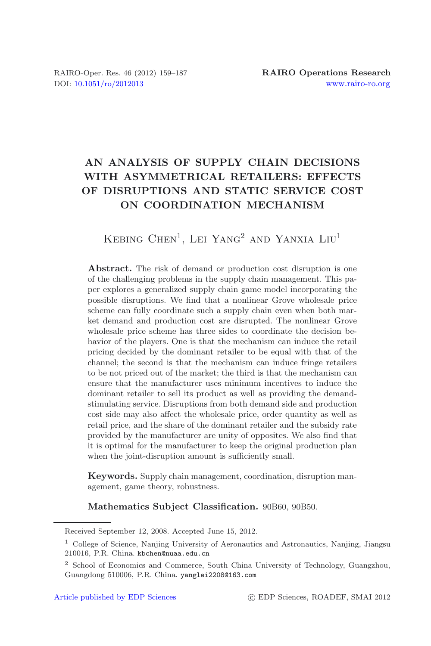# **AN ANALYSIS OF SUPPLY CHAIN DECISIONS WITH ASYMMETRICAL RETAILERS: EFFECTS OF DISRUPTIONS AND STATIC SERVICE COST ON COORDINATION MECHANISM**

# KEBING CHEN<sup>1</sup>, LEI YANG<sup>2</sup> AND YANXIA LIU<sup>1</sup>

**Abstract.** The risk of demand or production cost disruption is one of the challenging problems in the supply chain management. This paper explores a generalized supply chain game model incorporating the possible disruptions. We find that a nonlinear Grove wholesale price scheme can fully coordinate such a supply chain even when both market demand and production cost are disrupted. The nonlinear Grove wholesale price scheme has three sides to coordinate the decision behavior of the players. One is that the mechanism can induce the retail pricing decided by the dominant retailer to be equal with that of the channel; the second is that the mechanism can induce fringe retailers to be not priced out of the market; the third is that the mechanism can ensure that the manufacturer uses minimum incentives to induce the dominant retailer to sell its product as well as providing the demandstimulating service. Disruptions from both demand side and production cost side may also affect the wholesale price, order quantity as well as retail price, and the share of the dominant retailer and the subsidy rate provided by the manufacturer are unity of opposites. We also find that it is optimal for the manufacturer to keep the original production plan when the joint-disruption amount is sufficiently small.

**Keywords.** Supply chain management, coordination, disruption management, game theory, robustness.

**Mathematics Subject Classification.** 90B60, 90B50.

Received September 12, 2008. Accepted June 15, 2012.

<sup>1</sup> College of Science, Nanjing University of Aeronautics and Astronautics, Nanjing, Jiangsu 210016, P.R. China. kbchen@nuaa.edu.cn

<sup>2</sup> School of Economics and Commerce, South China University of Technology, Guangzhou, Guangdong 510006, P.R. China. yanglei2208@163.com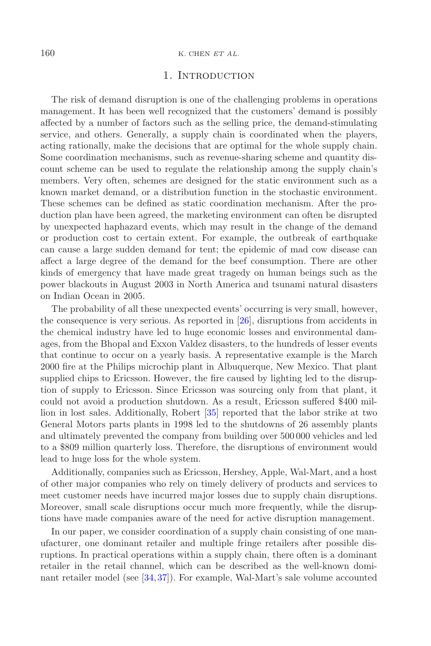## 1. INTRODUCTION

The risk of demand disruption is one of the challenging problems in operations management. It has been well recognized that the customers' demand is possibly affected by a number of factors such as the selling price, the demand-stimulating service, and others. Generally, a supply chain is coordinated when the players, acting rationally, make the decisions that are optimal for the whole supply chain. Some coordination mechanisms, such as revenue-sharing scheme and quantity discount scheme can be used to regulate the relationship among the supply chain's members. Very often, schemes are designed for the static environment such as a known market demand, or a distribution function in the stochastic environment. These schemes can be defined as static coordination mechanism. After the production plan have been agreed, the marketing environment can often be disrupted by unexpected haphazard events, which may result in the change of the demand or production cost to certain extent. For example, the outbreak of earthquake can cause a large sudden demand for tent; the epidemic of mad cow disease can affect a large degree of the demand for the beef consumption. There are other kinds of emergency that have made great tragedy on human beings such as the power blackouts in August 2003 in North America and tsunami natural disasters on Indian Ocean in 2005.

The probability of all these unexpected events' occurring is very small, however, the consequence is very serious. As reported in [\[26](#page-27-0)], disruptions from accidents in the chemical industry have led to huge economic losses and environmental damages, from the Bhopal and Exxon Valdez disasters, to the hundreds of lesser events that continue to occur on a yearly basis. A representative example is the March 2000 fire at the Philips microchip plant in Albuquerque, New Mexico. That plant supplied chips to Ericsson. However, the fire caused by lighting led to the disruption of supply to Ericsson. Since Ericsson was sourcing only from that plant, it could not avoid a production shutdown. As a result, Ericsson suffered \$400 million in lost sales. Additionally, Robert [\[35\]](#page-28-0) reported that the labor strike at two General Motors parts plants in 1998 led to the shutdowns of 26 assembly plants and ultimately prevented the company from building over 500 000 vehicles and led to a \$809 million quarterly loss. Therefore, the disruptions of environment would lead to huge loss for the whole system.

Additionally, companies such as Ericsson, Hershey, Apple, Wal-Mart, and a host of other major companies who rely on timely delivery of products and services to meet customer needs have incurred major losses due to supply chain disruptions. Moreover, small scale disruptions occur much more frequently, while the disruptions have made companies aware of the need for active disruption management.

In our paper, we consider coordination of a supply chain consisting of one manufacturer, one dominant retailer and multiple fringe retailers after possible disruptions. In practical operations within a supply chain, there often is a dominant retailer in the retail channel, which can be described as the well-known dominant retailer model (see [\[34,](#page-28-1)[37\]](#page-28-2)). For example, Wal-Mart's sale volume accounted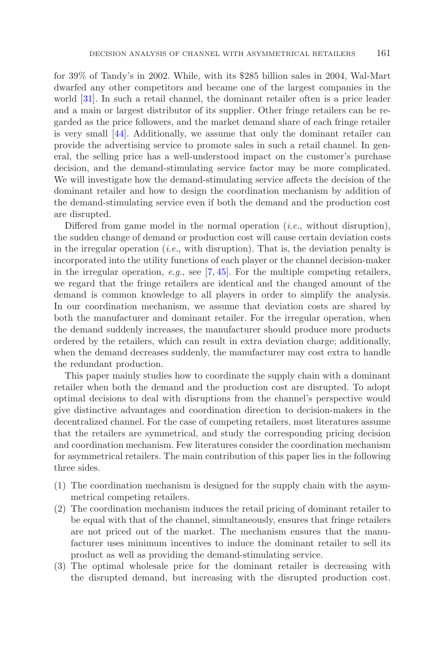for 39% of Tandy's in 2002. While, with its \$285 billion sales in 2004, Wal-Mart dwarfed any other competitors and became one of the largest companies in the world [\[31\]](#page-28-3). In such a retail channel, the dominant retailer often is a price leader and a main or largest distributor of its supplier. Other fringe retailers can be regarded as the price followers, and the market demand share of each fringe retailer is very small [\[44](#page-28-4)]. Additionally, we assume that only the dominant retailer can provide the advertising service to promote sales in such a retail channel. In general, the selling price has a well-understood impact on the customer's purchase decision, and the demand-stimulating service factor may be more complicated. We will investigate how the demand-stimulating service affects the decision of the dominant retailer and how to design the coordination mechanism by addition of the demand-stimulating service even if both the demand and the production cost are disrupted.

Differed from game model in the normal operation (*i.e.*, without disruption), the sudden change of demand or production cost will cause certain deviation costs in the irregular operation (*i.e.*, with disruption). That is, the deviation penalty is incorporated into the utility functions of each player or the channel decision-maker in the irregular operation, *e.g.*, see [\[7,](#page-27-1) [45\]](#page-28-5). For the multiple competing retailers, we regard that the fringe retailers are identical and the changed amount of the demand is common knowledge to all players in order to simplify the analysis. In our coordination mechanism, we assume that deviation costs are shared by both the manufacturer and dominant retailer. For the irregular operation, when the demand suddenly increases, the manufacturer should produce more products ordered by the retailers, which can result in extra deviation charge; additionally, when the demand decreases suddenly, the manufacturer may cost extra to handle the redundant production.

This paper mainly studies how to coordinate the supply chain with a dominant retailer when both the demand and the production cost are disrupted. To adopt optimal decisions to deal with disruptions from the channel's perspective would give distinctive advantages and coordination direction to decision-makers in the decentralized channel. For the case of competing retailers, most literatures assume that the retailers are symmetrical, and study the corresponding pricing decision and coordination mechanism. Few literatures consider the coordination mechanism for asymmetrical retailers. The main contribution of this paper lies in the following three sides.

- (1) The coordination mechanism is designed for the supply chain with the asymmetrical competing retailers.
- (2) The coordination mechanism induces the retail pricing of dominant retailer to be equal with that of the channel, simultaneously, ensures that fringe retailers are not priced out of the market. The mechanism ensures that the manufacturer uses minimum incentives to induce the dominant retailer to sell its product as well as providing the demand-stimulating service.
- (3) The optimal wholesale price for the dominant retailer is decreasing with the disrupted demand, but increasing with the disrupted production cost.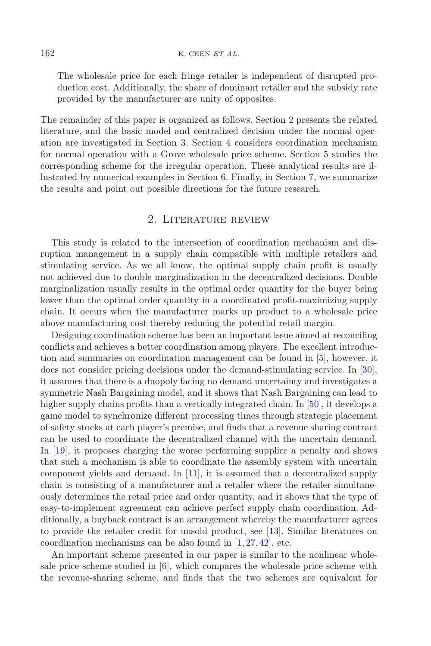The wholesale price for each fringe retailer is independent of disrupted production cost. Additionally, the share of dominant retailer and the subsidy rate provided by the manufacturer are unity of opposites.

The remainder of this paper is organized as follows. Section 2 presents the related literature, and the basic model and centralized decision under the normal operation are investigated in Section 3. Section 4 considers coordination mechanism for normal operation with a Grove wholesale price scheme. Section 5 studies the corresponding scheme for the irregular operation. These analytical results are illustrated by numerical examples in Section 6. Finally, in Section 7, we summarize the results and point out possible directions for the future research.

## 2. Literature review

This study is related to the intersection of coordination mechanism and disruption management in a supply chain compatible with multiple retailers and stimulating service. As we all know, the optimal supply chain profit is usually not achieved due to double marginalization in the decentralized decisions. Double marginalization usually results in the optimal order quantity for the buyer being lower than the optimal order quantity in a coordinated profit-maximizing supply chain. It occurs when the manufacturer marks up product to a wholesale price above manufacturing cost thereby reducing the potential retail margin.

Designing coordination scheme has been an important issue aimed at reconciling conflicts and achieves a better coordination among players. The excellent introduction and summaries on coordination management can be found in [\[5\]](#page-27-2), however, it does not consider pricing decisions under the demand-stimulating service. In [\[30\]](#page-28-6), it assumes that there is a duopoly facing no demand uncertainty and investigates a symmetric Nash Bargaining model, and it shows that Nash Bargaining can lead to higher supply chains profits than a vertically integrated chain. In [\[50\]](#page-28-7), it develops a game model to synchronize different processing times through strategic placement of safety stocks at each player's premise, and finds that a revenue sharing contract can be used to coordinate the decentralized channel with the uncertain demand. In [\[19](#page-27-3)], it proposes charging the worse performing supplier a penalty and shows that such a mechanism is able to coordinate the assembly system with uncertain component yields and demand. In [\[11\]](#page-27-4), it is assumed that a decentralized supply chain is consisting of a manufacturer and a retailer where the retailer simultaneously determines the retail price and order quantity, and it shows that the type of easy-to-implement agreement can achieve perfect supply chain coordination. Additionally, a buyback contract is an arrangement whereby the manufacturer agrees to provide the retailer credit for unsold product, see [\[13](#page-27-5)]. Similar literatures on coordination mechanisms can be also found in  $[1, 27, 42]$  $[1, 27, 42]$  $[1, 27, 42]$  $[1, 27, 42]$  $[1, 27, 42]$ , etc.

An important scheme presented in our paper is similar to the nonlinear wholesale price scheme studied in [\[6\]](#page-27-7), which compares the wholesale price scheme with the revenue-sharing scheme, and finds that the two schemes are equivalent for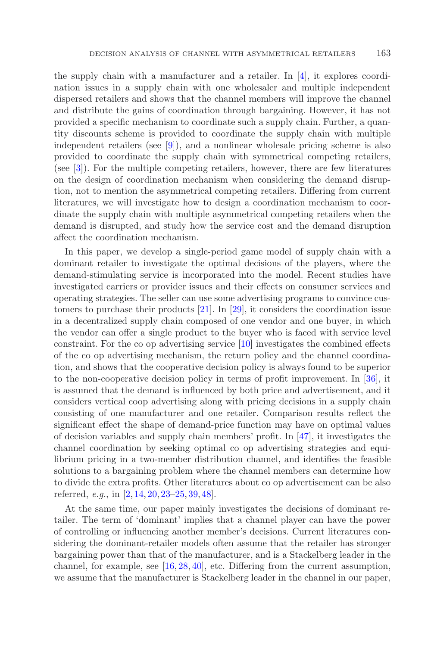the supply chain with a manufacturer and a retailer. In [\[4](#page-26-1)], it explores coordination issues in a supply chain with one wholesaler and multiple independent dispersed retailers and shows that the channel members will improve the channel and distribute the gains of coordination through bargaining. However, it has not provided a specific mechanism to coordinate such a supply chain. Further, a quantity discounts scheme is provided to coordinate the supply chain with multiple independent retailers (see [\[9\]](#page-27-8)), and a nonlinear wholesale pricing scheme is also provided to coordinate the supply chain with symmetrical competing retailers, (see [\[3\]](#page-26-2)). For the multiple competing retailers, however, there are few literatures on the design of coordination mechanism when considering the demand disruption, not to mention the asymmetrical competing retailers. Differing from current literatures, we will investigate how to design a coordination mechanism to coordinate the supply chain with multiple asymmetrical competing retailers when the demand is disrupted, and study how the service cost and the demand disruption affect the coordination mechanism.

In this paper, we develop a single-period game model of supply chain with a dominant retailer to investigate the optimal decisions of the players, where the demand-stimulating service is incorporated into the model. Recent studies have investigated carriers or provider issues and their effects on consumer services and operating strategies. The seller can use some advertising programs to convince customers to purchase their products [\[21](#page-27-9)]. In [\[29](#page-27-10)], it considers the coordination issue in a decentralized supply chain composed of one vendor and one buyer, in which the vendor can offer a single product to the buyer who is faced with service level constraint. For the co op advertising service [\[10](#page-27-11)] investigates the combined effects of the co op advertising mechanism, the return policy and the channel coordination, and shows that the cooperative decision policy is always found to be superior to the non-cooperative decision policy in terms of profit improvement. In [\[36](#page-28-9)], it is assumed that the demand is influenced by both price and advertisement, and it considers vertical coop advertising along with pricing decisions in a supply chain consisting of one manufacturer and one retailer. Comparison results reflect the significant effect the shape of demand-price function may have on optimal values of decision variables and supply chain members' profit. In  $[47]$ , it investigates the channel coordination by seeking optimal co op advertising strategies and equilibrium pricing in a two-member distribution channel, and identifies the feasible solutions to a bargaining problem where the channel members can determine how to divide the extra profits. Other literatures about co op advertisement can be also referred, *e.g.*, in [\[2](#page-26-3), [14](#page-27-12), [20](#page-27-13), [23](#page-27-14)[–25](#page-27-15), [39](#page-28-11), [48](#page-28-12)].

At the same time, our paper mainly investigates the decisions of dominant retailer. The term of 'dominant' implies that a channel player can have the power of controlling or influencing another member's decisions. Current literatures considering the dominant-retailer models often assume that the retailer has stronger bargaining power than that of the manufacturer, and is a Stackelberg leader in the channel, for example, see [\[16,](#page-27-16) [28,](#page-27-17) [40](#page-28-13)], etc. Differing from the current assumption, we assume that the manufacturer is Stackelberg leader in the channel in our paper,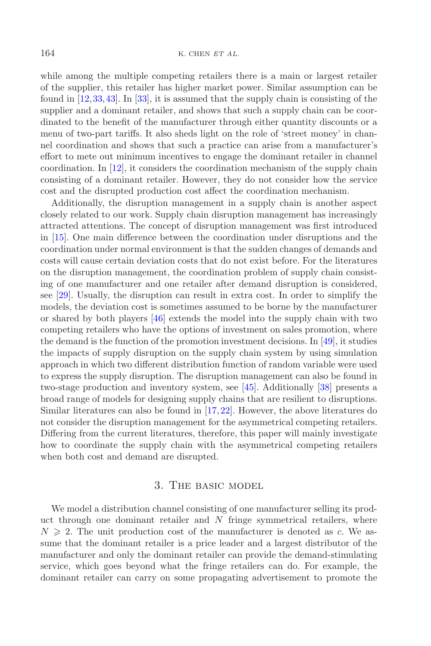while among the multiple competing retailers there is a main or largest retailer of the supplier, this retailer has higher market power. Similar assumption can be found in [\[12](#page-27-18),[33](#page-28-14)[,43\]](#page-28-15). In [\[33\]](#page-28-14), it is assumed that the supply chain is consisting of the supplier and a dominant retailer, and shows that such a supply chain can be coordinated to the benefit of the manufacturer through either quantity discounts or a menu of two-part tariffs. It also sheds light on the role of 'street money' in channel coordination and shows that such a practice can arise from a manufacturer's effort to mete out minimum incentives to engage the dominant retailer in channel coordination. In [\[12\]](#page-27-18), it considers the coordination mechanism of the supply chain consisting of a dominant retailer. However, they do not consider how the service cost and the disrupted production cost affect the coordination mechanism.

Additionally, the disruption management in a supply chain is another aspect closely related to our work. Supply chain disruption management has increasingly attracted attentions. The concept of disruption management was first introduced in [\[15](#page-27-19)]. One main difference between the coordination under disruptions and the coordination under normal environment is that the sudden changes of demands and costs will cause certain deviation costs that do not exist before. For the literatures on the disruption management, the coordination problem of supply chain consisting of one manufacturer and one retailer after demand disruption is considered, see [\[29\]](#page-27-10). Usually, the disruption can result in extra cost. In order to simplify the models, the deviation cost is sometimes assumed to be borne by the manufacturer or shared by both players [\[46\]](#page-28-16) extends the model into the supply chain with two competing retailers who have the options of investment on sales promotion, where the demand is the function of the promotion investment decisions. In [\[49\]](#page-28-17), it studies the impacts of supply disruption on the supply chain system by using simulation approach in which two different distribution function of random variable were used to express the supply disruption. The disruption management can also be found in two-stage production and inventory system, see [\[45](#page-28-5)]. Additionally [\[38\]](#page-28-18) presents a broad range of models for designing supply chains that are resilient to disruptions. Similar literatures can also be found in [\[17](#page-27-20),[22\]](#page-27-21). However, the above literatures do not consider the disruption management for the asymmetrical competing retailers. Differing from the current literatures, therefore, this paper will mainly investigate how to coordinate the supply chain with the asymmetrical competing retailers when both cost and demand are disrupted.

## 3. The basic model

We model a distribution channel consisting of one manufacturer selling its product through one dominant retailer and  $N$  fringe symmetrical retailers, where  $N \geqslant 2$ . The unit production cost of the manufacturer is denoted as c. We assume that the dominant retailer is a price leader and a largest distributor of the manufacturer and only the dominant retailer can provide the demand-stimulating service, which goes beyond what the fringe retailers can do. For example, the dominant retailer can carry on some propagating advertisement to promote the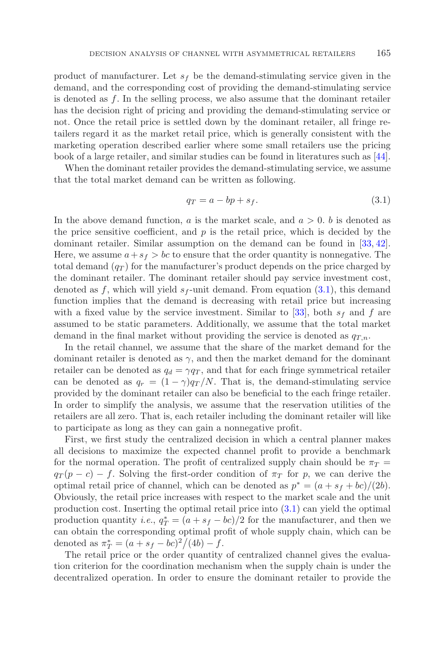product of manufacturer. Let  $s_f$  be the demand-stimulating service given in the demand, and the corresponding cost of providing the demand-stimulating service is denoted as  $f$ . In the selling process, we also assume that the dominant retailer has the decision right of pricing and providing the demand-stimulating service or not. Once the retail price is settled down by the dominant retailer, all fringe retailers regard it as the market retail price, which is generally consistent with the marketing operation described earlier where some small retailers use the pricing book of a large retailer, and similar studies can be found in literatures such as [\[44\]](#page-28-4).

When the dominant retailer provides the demand-stimulating service, we assume that the total market demand can be written as following.

<span id="page-6-0"></span>
$$
q_T = a - bp + s_f. \tag{3.1}
$$

In the above demand function, a is the market scale, and  $a > 0$ , b is denoted as the price sensitive coefficient, and  $p$  is the retail price, which is decided by the dominant retailer. Similar assumption on the demand can be found in [\[33,](#page-28-14) [42\]](#page-28-8). Here, we assume  $a+s_f > bc$  to ensure that the order quantity is nonnegative. The total demand  $(q_T)$  for the manufacturer's product depends on the price charged by the dominant retailer. The dominant retailer should pay service investment cost, denoted as f, which will yield  $s_f$ -unit demand. From equation [\(3.1\)](#page-6-0), this demand function implies that the demand is decreasing with retail price but increasing with a fixed value by the service investment. Similar to [\[33](#page-28-14)], both  $s_f$  and f are assumed to be static parameters. Additionally, we assume that the total market demand in the final market without providing the service is denoted as  $q_{T,n}$ .

In the retail channel, we assume that the share of the market demand for the dominant retailer is denoted as  $\gamma$ , and then the market demand for the dominant retailer can be denoted as  $q_d = \gamma q_T$ , and that for each fringe symmetrical retailer can be denoted as  $q_r = (1 - \gamma)q_T/N$ . That is, the demand-stimulating service provided by the dominant retailer can also be beneficial to the each fringe retailer. In order to simplify the analysis, we assume that the reservation utilities of the retailers are all zero. That is, each retailer including the dominant retailer will like to participate as long as they can gain a nonnegative profit.

First, we first study the centralized decision in which a central planner makes all decisions to maximize the expected channel profit to provide a benchmark for the normal operation. The profit of centralized supply chain should be  $\pi_T =$  $q_T(p-c) - f$ . Solving the first-order condition of  $\pi_T$  for p, we can derive the optimal retail price of channel, which can be denoted as  $p^* = (a + s_f + bc)/(2b)$ . Obviously, the retail price increases with respect to the market scale and the unit production cost. Inserting the optimal retail price into [\(3.1\)](#page-6-0) can yield the optimal production quantity *i.e.*,  $q_T^* = (a + s_f - bc)/2$  for the manufacturer, and then we can obtain the corresponding optimal profit of whole supply chain, which can be denoted as  $\pi_T^* = (a + s_f - bc)^2 / (4b) - f$ .

The retail price or the order quantity of centralized channel gives the evaluation criterion for the coordination mechanism when the supply chain is under the decentralized operation. In order to ensure the dominant retailer to provide the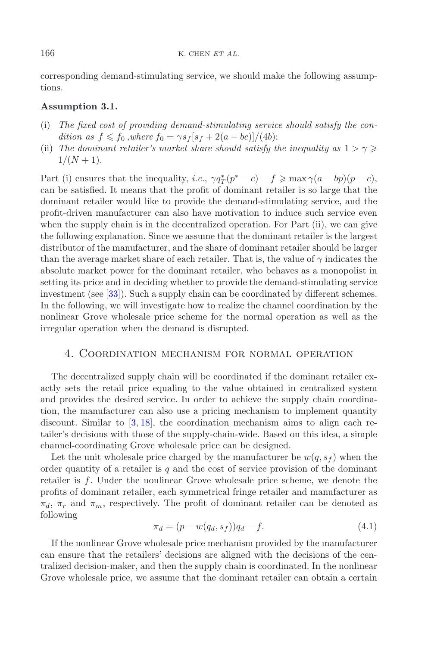corresponding demand-stimulating service, we should make the following assumptions.

### **Assumption 3.1.**

- (i) *The fixed cost of providing demand-stimulating service should satisfy the condition as*  $f \n\leq f_0$ , *where*  $f_0 = \gamma s_f [s_f + 2(a - bc)]/(4b);$
- (ii) *The dominant retailer's market share should satisfy the inequality as*  $1 > \gamma \geq$  $1/(N+1)$ .

Part (i) ensures that the inequality, *i.e.*,  $\gamma q_T^*(p^* - c) - f \ge \max \gamma (a - bp)(p - c)$ , can be satisfied. It means that the profit of dominant retailer is so large that the dominant retailer would like to provide the demand-stimulating service, and the profit-driven manufacturer can also have motivation to induce such service even when the supply chain is in the decentralized operation. For Part (ii), we can give the following explanation. Since we assume that the dominant retailer is the largest distributor of the manufacturer, and the share of dominant retailer should be larger than the average market share of each retailer. That is, the value of  $\gamma$  indicates the absolute market power for the dominant retailer, who behaves as a monopolist in setting its price and in deciding whether to provide the demand-stimulating service investment (see [\[33](#page-28-14)]). Such a supply chain can be coordinated by different schemes. In the following, we will investigate how to realize the channel coordination by the nonlinear Grove wholesale price scheme for the normal operation as well as the irregular operation when the demand is disrupted.

## 4. Coordination mechanism for normal operation

<span id="page-7-0"></span>The decentralized supply chain will be coordinated if the dominant retailer exactly sets the retail price equaling to the value obtained in centralized system and provides the desired service. In order to achieve the supply chain coordination, the manufacturer can also use a pricing mechanism to implement quantity discount. Similar to [\[3,](#page-26-2) [18\]](#page-27-22), the coordination mechanism aims to align each retailer's decisions with those of the supply-chain-wide. Based on this idea, a simple channel-coordinating Grove wholesale price can be designed.

Let the unit wholesale price charged by the manufacturer be  $w(q, s_f)$  when the order quantity of a retailer is  $q$  and the cost of service provision of the dominant retailer is f. Under the nonlinear Grove wholesale price scheme, we denote the profits of dominant retailer, each symmetrical fringe retailer and manufacturer as  $\pi_d$ ,  $\pi_r$  and  $\pi_m$ , respectively. The profit of dominant retailer can be denoted as following

$$
\pi_d = (p - w(q_d, s_f))q_d - f.
$$
\n(4.1)

If the nonlinear Grove wholesale price mechanism provided by the manufacturer can ensure that the retailers' decisions are aligned with the decisions of the centralized decision-maker, and then the supply chain is coordinated. In the nonlinear Grove wholesale price, we assume that the dominant retailer can obtain a certain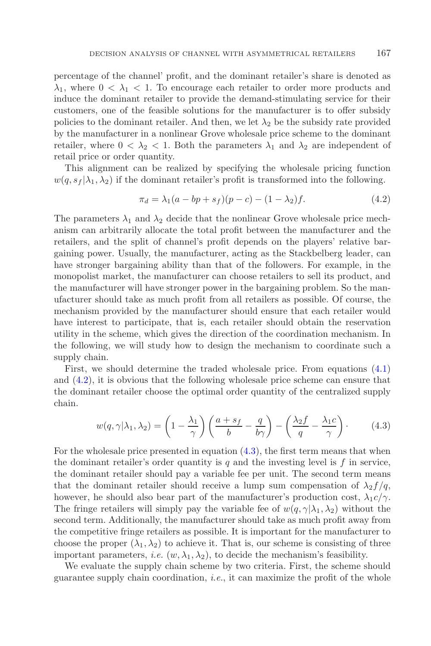percentage of the channel' profit, and the dominant retailer's share is denoted as  $\lambda_1$ , where  $0 < \lambda_1 < 1$ . To encourage each retailer to order more products and induce the dominant retailer to provide the demand-stimulating service for their customers, one of the feasible solutions for the manufacturer is to offer subsidy policies to the dominant retailer. And then, we let  $\lambda_2$  be the subsidy rate provided by the manufacturer in a nonlinear Grove wholesale price scheme to the dominant retailer, where  $0 < \lambda_2 < 1$ . Both the parameters  $\lambda_1$  and  $\lambda_2$  are independent of retail price or order quantity.

This alignment can be realized by specifying the wholesale pricing function  $w(q, s_f | \lambda_1, \lambda_2)$  if the dominant retailer's profit is transformed into the following.

<span id="page-8-0"></span>
$$
\pi_d = \lambda_1 (a - bp + s_f)(p - c) - (1 - \lambda_2)f. \tag{4.2}
$$

<span id="page-8-1"></span>The parameters  $\lambda_1$  and  $\lambda_2$  decide that the nonlinear Grove wholesale price mechanism can arbitrarily allocate the total profit between the manufacturer and the retailers, and the split of channel's profit depends on the players' relative bargaining power. Usually, the manufacturer, acting as the Stackbelberg leader, can have stronger bargaining ability than that of the followers. For example, in the monopolist market, the manufacturer can choose retailers to sell its product, and the manufacturer will have stronger power in the bargaining problem. So the manufacturer should take as much profit from all retailers as possible. Of course, the mechanism provided by the manufacturer should ensure that each retailer would have interest to participate, that is, each retailer should obtain the reservation utility in the scheme, which gives the direction of the coordination mechanism. In the following, we will study how to design the mechanism to coordinate such a supply chain.

First, we should determine the traded wholesale price. From equations [\(4.1\)](#page-7-0) and [\(4.2\)](#page-8-0), it is obvious that the following wholesale price scheme can ensure that the dominant retailer choose the optimal order quantity of the centralized supply chain.

$$
w(q, \gamma | \lambda_1, \lambda_2) = \left(1 - \frac{\lambda_1}{\gamma}\right) \left(\frac{a + s_f}{b} - \frac{q}{b\gamma}\right) - \left(\frac{\lambda_2 f}{q} - \frac{\lambda_1 c}{\gamma}\right). \tag{4.3}
$$

For the wholesale price presented in equation  $(4.3)$ , the first term means that when the dominant retailer's order quantity is  $q$  and the investing level is  $f$  in service, the dominant retailer should pay a variable fee per unit. The second term means that the dominant retailer should receive a lump sum compensation of  $\lambda_2 f/q$ , however, he should also bear part of the manufacturer's production cost,  $\lambda_1 c / \gamma$ . The fringe retailers will simply pay the variable fee of  $w(q, \gamma | \lambda_1, \lambda_2)$  without the second term. Additionally, the manufacturer should take as much profit away from the competitive fringe retailers as possible. It is important for the manufacturer to choose the proper  $(\lambda_1, \lambda_2)$  to achieve it. That is, our scheme is consisting of three important parameters, *i.e.*  $(w, \lambda_1, \lambda_2)$ , to decide the mechanism's feasibility.

We evaluate the supply chain scheme by two criteria. First, the scheme should guarantee supply chain coordination, *i.e.*, it can maximize the profit of the whole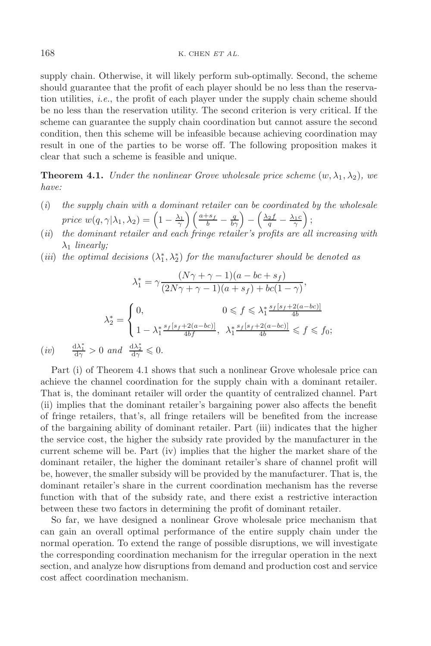supply chain. Otherwise, it will likely perform sub-optimally. Second, the scheme should guarantee that the profit of each player should be no less than the reservation utilities, *i.e.*, the profit of each player under the supply chain scheme should be no less than the reservation utility. The second criterion is very critical. If the scheme can guarantee the supply chain coordination but cannot assure the second condition, then this scheme will be infeasible because achieving coordination may result in one of the parties to be worse off. The following proposition makes it clear that such a scheme is feasible and unique.

**Theorem 4.1.** *Under the nonlinear Grove wholesale price scheme*  $(w, \lambda_1, \lambda_2)$ *, we have:*

- (*i*) *the supply chain with a dominant retailer can be coordinated by the wholesale price*  $w(q, \gamma | \lambda_1, \lambda_2) = \left(1 - \frac{\lambda_1}{\gamma}\right) \left(\frac{a + s_f}{b} - \frac{q}{b\gamma}\right) - \left(\frac{\lambda_2 f}{q} - \frac{\lambda_1 c}{\gamma}\right);$
- (*ii*) *the dominant retailer and each fringe retailer's profits are all increasing with* λ<sup>1</sup> *linearly;*
- (*iii*) the optimal decisions  $(\lambda_1^*, \lambda_2^*)$  for the manufacturer should be denoted as

$$
\lambda_1^* = \gamma \frac{(N\gamma + \gamma - 1)(a - bc + s_f)}{(2N\gamma + \gamma - 1)(a + s_f) + bc(1 - \gamma)},
$$

$$
\lambda_2^* = \begin{cases} 0, & 0 \le f \le \lambda_1^* \frac{s_f[s_f + 2(a - bc)]}{4b} \\ 1 - \lambda_1^* \frac{s_f[s_f + 2(a - bc)]}{4bf}, & \lambda_1^* \frac{s_f[s_f + 2(a - bc)]}{4b} \le f \le f_0; \end{cases}
$$

$$
(iv) \frac{d\lambda_1^*}{d\gamma} > 0 \text{ and } \frac{d\lambda_2^*}{d\gamma} \le 0.
$$

Part (i) of Theorem 4.1 shows that such a nonlinear Grove wholesale price can achieve the channel coordination for the supply chain with a dominant retailer. That is, the dominant retailer will order the quantity of centralized channel. Part (ii) implies that the dominant retailer's bargaining power also affects the benefit of fringe retailers, that's, all fringe retailers will be benefited from the increase of the bargaining ability of dominant retailer. Part (iii) indicates that the higher the service cost, the higher the subsidy rate provided by the manufacturer in the current scheme will be. Part (iv) implies that the higher the market share of the dominant retailer, the higher the dominant retailer's share of channel profit will be, however, the smaller subsidy will be provided by the manufacturer. That is, the dominant retailer's share in the current coordination mechanism has the reverse function with that of the subsidy rate, and there exist a restrictive interaction between these two factors in determining the profit of dominant retailer.

So far, we have designed a nonlinear Grove wholesale price mechanism that can gain an overall optimal performance of the entire supply chain under the normal operation. To extend the range of possible disruptions, we will investigate the corresponding coordination mechanism for the irregular operation in the next section, and analyze how disruptions from demand and production cost and service cost affect coordination mechanism.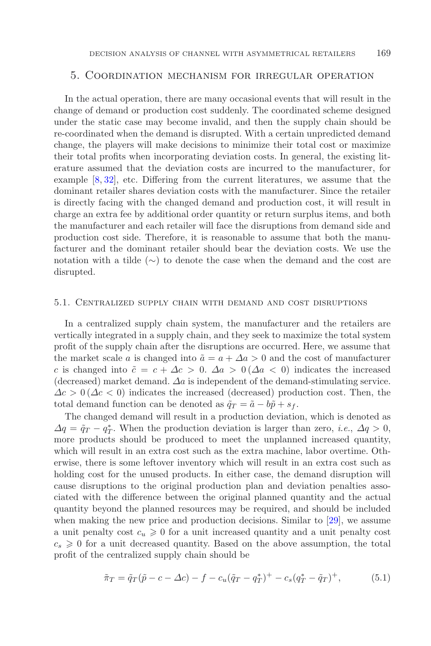## 5. Coordination mechanism for irregular operation

In the actual operation, there are many occasional events that will result in the change of demand or production cost suddenly. The coordinated scheme designed under the static case may become invalid, and then the supply chain should be re-coordinated when the demand is disrupted. With a certain unpredicted demand change, the players will make decisions to minimize their total cost or maximize their total profits when incorporating deviation costs. In general, the existing literature assumed that the deviation costs are incurred to the manufacturer, for example [\[8,](#page-27-23) [32\]](#page-28-19), etc. Differing from the current literatures, we assume that the dominant retailer shares deviation costs with the manufacturer. Since the retailer is directly facing with the changed demand and production cost, it will result in charge an extra fee by additional order quantity or return surplus items, and both the manufacturer and each retailer will face the disruptions from demand side and production cost side. Therefore, it is reasonable to assume that both the manufacturer and the dominant retailer should bear the deviation costs. We use the notation with a tilde (∼) to denote the case when the demand and the cost are disrupted.

#### 5.1. Centralized supply chain with demand and cost disruptions

In a centralized supply chain system, the manufacturer and the retailers are vertically integrated in a supply chain, and they seek to maximize the total system profit of the supply chain after the disruptions are occurred. Here, we assume that the market scale a is changed into  $\tilde{a} = a + \Delta a > 0$  and the cost of manufacturer c is changed into  $\tilde{c} = c + \Delta c > 0$ .  $\Delta a > 0$  ( $\Delta a < 0$ ) indicates the increased (decreased) market demand.  $\Delta a$  is independent of the demand-stimulating service.  $\Delta c > 0 \, (\Delta c < 0)$  indicates the increased (decreased) production cost. Then, the total demand function can be denoted as  $\tilde{q}_T = \tilde{a} - b\tilde{p} + s_f$ .

The changed demand will result in a production deviation, which is denoted as  $\Delta q = \tilde{q}_T - q_T^*$ . When the production deviation is larger than zero, *i.e.*,  $\Delta q > 0$ , more products should be produced to meet the unplanned increased quantity, which will result in an extra cost such as the extra machine, labor overtime. Otherwise, there is some leftover inventory which will result in an extra cost such as holding cost for the unused products. In either case, the demand disruption will cause disruptions to the original production plan and deviation penalties associated with the difference between the original planned quantity and the actual quantity beyond the planned resources may be required, and should be included when making the new price and production decisions. Similar to [\[29\]](#page-27-10), we assume a unit penalty cost  $c_u \geqslant 0$  for a unit increased quantity and a unit penalty cost  $c_s \geq 0$  for a unit decreased quantity. Based on the above assumption, the total profit of the centralized supply chain should be

$$
\tilde{\pi}_T = \tilde{q}_T(\tilde{p} - c - \Delta c) - f - c_u(\tilde{q}_T - q_T^*)^+ - c_s(q_T^* - \tilde{q}_T)^+, \tag{5.1}
$$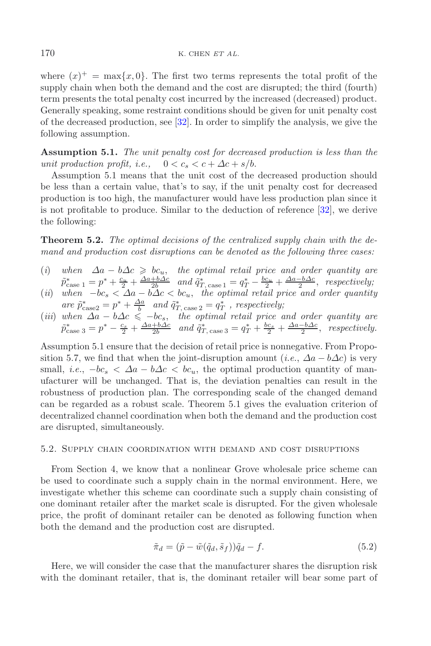where  $(x)^+$  = max $\{x, 0\}$ . The first two terms represents the total profit of the supply chain when both the demand and the cost are disrupted; the third (fourth) term presents the total penalty cost incurred by the increased (decreased) product. Generally speaking, some restraint conditions should be given for unit penalty cost of the decreased production, see [\[32\]](#page-28-19). In order to simplify the analysis, we give the following assumption.

**Assumption 5.1.** *The unit penalty cost for decreased production is less than the unit production profit, i.e.,*  $0 < c_s < c + \Delta c + s/b$ .

Assumption 5.1 means that the unit cost of the decreased production should be less than a certain value, that's to say, if the unit penalty cost for decreased production is too high, the manufacturer would have less production plan since it is not profitable to produce. Similar to the deduction of reference [\[32\]](#page-28-19), we derive the following:

**Theorem 5.2.** *The optimal decisions of the centralized supply chain with the demand and production cost disruptions can be denoted as the following three cases:*

- $(i)$  when  $\Delta a b\Delta c \geqslant bc_u$ , the optimal retail price and order quantity are  $\tilde{p}^*_{\text{case 1}} = p^* + \frac{c_u}{2} + \frac{\Delta a + b\Delta c}{2b}$  and  $\tilde{q}^*_{T,\text{case 1}} = q^*_T - \frac{bc_u}{2} + \frac{\Delta a - b\Delta c}{2}$ , *respectively*;
- (*ii*) when  $-bc_s < \Delta a b\Delta c < bc_u$ , the optimal retail price and order quantity are  $\tilde{p}^*_{\text{case2}} = p^* + \frac{\Delta a}{b}$  and  $\tilde{q}^*_{T,\text{case2}} = q^*_{T}$ , respectively;
- $(iii)$  when  $\Delta a b\Delta c \leq -bc_s$ , the optimal retail price and order quantity are  $\tilde{p}^*_{\text{case 3}} = p^* - \frac{c_s}{2} + \frac{\Delta a + b\Delta c}{2b}$  and  $\tilde{q}^*_{T,\text{case 3}} = q^*_T + \frac{bc_s}{2} + \frac{\Delta a - b\Delta c}{2}$ , *respectively.*

Assumption 5.1 ensure that the decision of retail price is nonnegative. From Proposition 5.7, we find that when the joint-disruption amount (*i.e.*,  $\Delta a - b\Delta c$ ) is very small, *i.e.*,  $-bc_s < \Delta a - b\Delta c < b c_u$ , the optimal production quantity of manufacturer will be unchanged. That is, the deviation penalties can result in the robustness of production plan. The corresponding scale of the changed demand can be regarded as a robust scale. Theorem 5.1 gives the evaluation criterion of decentralized channel coordination when both the demand and the production cost are disrupted, simultaneously.

#### 5.2. Supply chain coordination with demand and cost disruptions

From Section 4, we know that a nonlinear Grove wholesale price scheme can be used to coordinate such a supply chain in the normal environment. Here, we investigate whether this scheme can coordinate such a supply chain consisting of one dominant retailer after the market scale is disrupted. For the given wholesale price, the profit of dominant retailer can be denoted as following function when both the demand and the production cost are disrupted.

$$
\tilde{\pi}_d = (\tilde{p} - \tilde{w}(\tilde{q}_d, \tilde{s}_f))\tilde{q}_d - f.
$$
\n(5.2)

Here, we will consider the case that the manufacturer shares the disruption risk with the dominant retailer, that is, the dominant retailer will bear some part of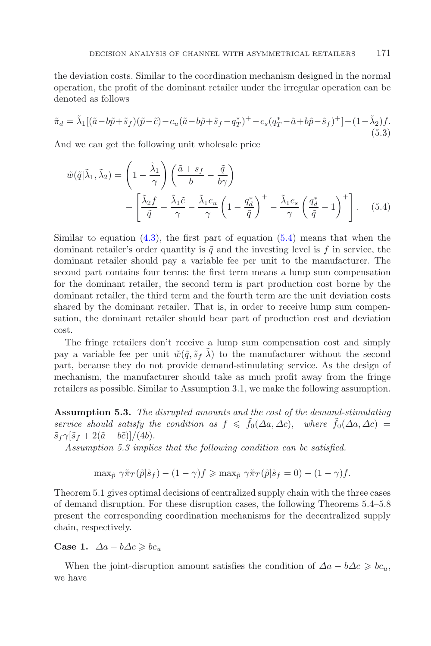<span id="page-12-0"></span>the deviation costs. Similar to the coordination mechanism designed in the normal operation, the profit of the dominant retailer under the irregular operation can be denoted as follows

$$
\tilde{\pi}_d = \tilde{\lambda}_1 [(\tilde{a} - b\tilde{p} + \tilde{s}_f)(\tilde{p} - \tilde{c}) - c_u(\tilde{a} - b\tilde{p} + \tilde{s}_f - q_T^*)^+ - c_s(q_T^* - \tilde{a} + b\tilde{p} - \tilde{s}_f)^+] - (1 - \tilde{\lambda}_2)f. \tag{5.3}
$$

And we can get the following unit wholesale price

$$
\tilde{w}(\tilde{q}|\tilde{\lambda}_1, \tilde{\lambda}_2) = \left(1 - \frac{\tilde{\lambda}_1}{\gamma}\right) \left(\frac{\tilde{a} + s_f}{b} - \frac{\tilde{q}}{b\gamma}\right) \n- \left[\frac{\tilde{\lambda}_2 f}{\tilde{q}} - \frac{\tilde{\lambda}_1 \tilde{c}}{\gamma} - \frac{\tilde{\lambda}_1 c_u}{\gamma} \left(1 - \frac{q_d^*}{\tilde{q}}\right)^+ - \frac{\tilde{\lambda}_1 c_s}{\gamma} \left(\frac{q_d^*}{\tilde{q}} - 1\right)^+\right].
$$
\n(5.4)

Similar to equation  $(4.3)$ , the first part of equation  $(5.4)$  means that when the dominant retailer's order quantity is  $\tilde{q}$  and the investing level is f in service, the dominant retailer should pay a variable fee per unit to the manufacturer. The second part contains four terms: the first term means a lump sum compensation for the dominant retailer, the second term is part production cost borne by the dominant retailer, the third term and the fourth term are the unit deviation costs shared by the dominant retailer. That is, in order to receive lump sum compensation, the dominant retailer should bear part of production cost and deviation cost.

The fringe retailers don't receive a lump sum compensation cost and simply pay a variable fee per unit  $\tilde{w}(\tilde{q}, \tilde{s}_f | \tilde{\lambda})$  to the manufacturer without the second part, because they do not provide demand-stimulating service. As the design of mechanism, the manufacturer should take as much profit away from the fringe retailers as possible. Similar to Assumption 3.1, we make the following assumption.

**Assumption 5.3.** *The disrupted amounts and the cost of the demand-stimulating service should satisfy the condition as*  $f \leq f_0(\Delta a, \Delta c)$ , *where*  $\tilde{f}_0(\Delta a, \Delta c)$  =  $\tilde{s}_f \gamma [\tilde{s}_f + 2(\tilde{a} - b\tilde{c})]/(4b).$ 

*Assumption 5.3 implies that the following condition can be satisfied.*

$$
\max_{\tilde{p}} \gamma \tilde{\pi}_T(\tilde{p}|\tilde{s}_f) - (1 - \gamma)f \ge \max_{\tilde{p}} \gamma \tilde{\pi}_T(\tilde{p}|\tilde{s}_f = 0) - (1 - \gamma)f.
$$

Theorem 5.1 gives optimal decisions of centralized supply chain with the three cases of demand disruption. For these disruption cases, the following Theorems 5.4–5.8 present the corresponding coordination mechanisms for the decentralized supply chain, respectively.

## **Case 1.**  $\Delta a - b\Delta c \geqslant bc_u$

When the joint-disruption amount satisfies the condition of  $\Delta a - b\Delta c \geqslant bc_u$ , we have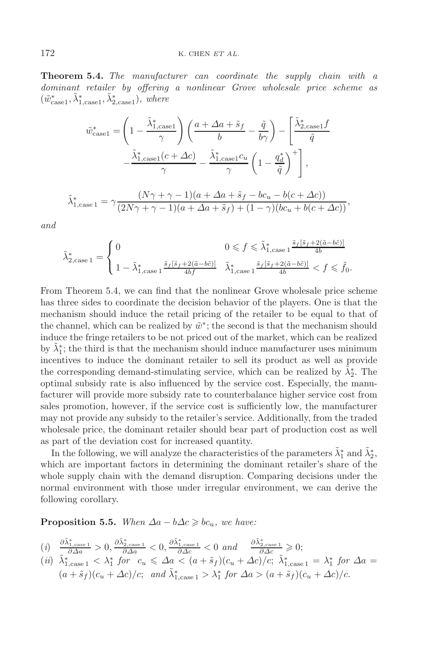**Theorem 5.4.** *The manufacturer can coordinate the supply chain with a dominant retailer by offering a nonlinear Grove wholesale price scheme as*  $(\tilde{w}^*_{\text{case1}}, \tilde{\lambda}^*_{1, \text{case1}}, \tilde{\lambda}^*_{2, \text{case1}}), \text{ where}$ 

$$
\tilde{w}_{\text{case1}}^* = \left(1 - \frac{\tilde{\lambda}_{1,\text{case1}}^*}{\gamma}\right) \left(\frac{a + \Delta a + \tilde{s}_f}{b} - \frac{\tilde{q}}{b\gamma}\right) - \left[\frac{\tilde{\lambda}_{2,\text{case1}}^* f}{\tilde{q}}\right] \n- \frac{\tilde{\lambda}_{1,\text{case1}}^* (c + \Delta c)}{\gamma} - \frac{\tilde{\lambda}_{1,\text{case1}}^* c_u}{\gamma} \left(1 - \frac{q_d^*}{\tilde{q}}\right)^+ \right],
$$

$$
\tilde{\lambda}_{1,\text{case 1}}^* = \gamma \frac{(N\gamma + \gamma - 1)(a + \Delta a + \tilde{s}_f - bc_u - b(c + \Delta c))}{(2N\gamma + \gamma - 1)(a + \Delta a + \tilde{s}_f) + (1 - \gamma)(bc_u + b(c + \Delta c))},
$$

*and*

$$
\tilde{\lambda}_{2,\text{case 1}}^* = \begin{cases} 0 & 0 \leqslant f \leqslant \tilde{\lambda}_{1,\text{case 1}}^* \frac{\tilde{s}_f[\tilde{s}_f + 2(\tilde{a} - b\tilde{c})]}{4b} \\ 1 - \tilde{\lambda}_{1,\text{case 1}}^* \frac{\tilde{s}_f[\tilde{s}_f + 2(\tilde{a} - b\tilde{c})]}{4bf} & \tilde{\lambda}_{1,\text{case 1}}^* \frac{\tilde{s}_f[\tilde{s}_f + 2(\tilde{a} - b\tilde{c})]}{4b} < f \leqslant \tilde{f}_0. \end{cases}
$$

From Theorem 5.4, we can find that the nonlinear Grove wholesale price scheme has three sides to coordinate the decision behavior of the players. One is that the mechanism should induce the retail pricing of the retailer to be equal to that of the channel, which can be realized by  $\tilde{w}^*$ ; the second is that the mechanism should induce the fringe retailers to be not priced out of the market, which can be realized by  $\tilde{\lambda}_1^*$ ; the third is that the mechanism should induce manufacturer uses minimum incentives to induce the dominant retailer to sell its product as well as provide the corresponding demand-stimulating service, which can be realized by  $\tilde{\lambda}_2^*$ . The optimal subsidy rate is also influenced by the service cost. Especially, the manufacturer will provide more subsidy rate to counterbalance higher service cost from sales promotion, however, if the service cost is sufficiently low, the manufacturer may not provide any subsidy to the retailer's service. Additionally, from the traded wholesale price, the dominant retailer should bear part of production cost as well as part of the deviation cost for increased quantity.

In the following, we will analyze the characteristics of the parameters  $\tilde{\lambda}_1^*$  and  $\tilde{\lambda}_2^*$ , which are important factors in determining the dominant retailer's share of the whole supply chain with the demand disruption. Comparing decisions under the normal environment with those under irregular environment, we can derive the following corollary.

**Proposition 5.5.** *When*  $\Delta a - b\Delta c \geq bc_u$ , we have:

- $(i)$   $\frac{\partial \tilde{\lambda}_{1,\text{case 1}}^*}{\partial \Delta a} > 0, \frac{\partial \tilde{\lambda}_{2,\text{case 1}}^*}{\partial \Delta a} < 0, \frac{\partial \tilde{\lambda}_{1,\text{case 1}}^*}{\partial \Delta c} < 0 \text{ and } \frac{\partial \tilde{\lambda}_{2,\text{case 1}}^*}{\partial \Delta c} \geq 0;$
- (*ii*)  $\tilde{\lambda}_{1,\text{case 1}}^* < \lambda_1^*$  for  $c_u \leq \Delta a < (a + \tilde{s}_f)(c_u + \Delta c)/c$ ;  $\tilde{\lambda}_{1,\text{case 1}}^* = \lambda_1^*$  for  $\Delta a =$  $(a + \tilde{s}_f)(c_u + \Delta c)/c$ ; and  $\tilde{\lambda}_{1,\text{case 1}}^* > \lambda_1^*$  for  $\Delta a > (a + \tilde{s}_f)(c_u + \Delta c)/c$ .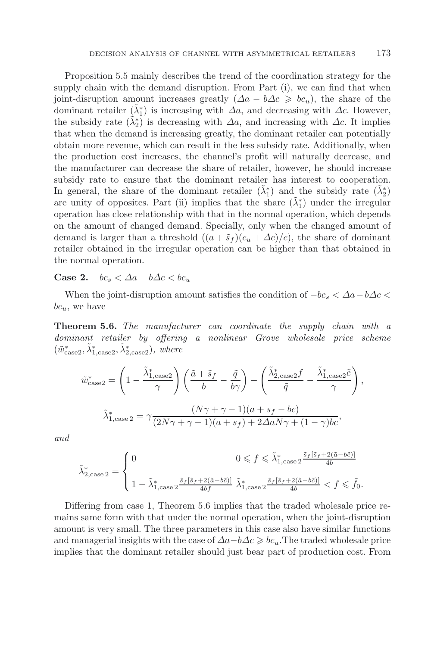Proposition 5.5 mainly describes the trend of the coordination strategy for the supply chain with the demand disruption. From Part (i), we can find that when joint-disruption amount increases greatly  $(\Delta a - b\Delta c \geqslant bc_u)$ , the share of the dominant retailer  $(\tilde{\lambda}_1^*)$  is increasing with  $\Delta a$ , and decreasing with  $\Delta c$ . However, the subsidy rate  $(\tilde{\lambda}_2^*)$  is decreasing with  $\Delta a$ , and increasing with  $\Delta c$ . It implies that when the demand is increasing greatly, the dominant retailer can potentially obtain more revenue, which can result in the less subsidy rate. Additionally, when the production cost increases, the channel's profit will naturally decrease, and the manufacturer can decrease the share of retailer, however, he should increase subsidy rate to ensure that the dominant retailer has interest to cooperation. In general, the share of the dominant retailer  $(\tilde{\lambda}_1^*)$  and the subsidy rate  $(\tilde{\lambda}_2^*)$ are unity of opposites. Part (ii) implies that the share  $(\tilde{\lambda}_1^*)$  under the irregular operation has close relationship with that in the normal operation, which depends on the amount of changed demand. Specially, only when the changed amount of demand is larger than a threshold  $((a + \tilde{s}_f)(c_u + \Delta c)/c)$ , the share of dominant retailer obtained in the irregular operation can be higher than that obtained in the normal operation.

**Case 2.**  $-bc_s < \Delta a - b\Delta c < bc_u$ 

When the joint-disruption amount satisfies the condition of  $-bc_s < \Delta a - b\Delta c <$  $bc_u$ , we have

**Theorem 5.6.** *The manufacturer can coordinate the supply chain with a dominant retailer by offering a nonlinear Grove wholesale price scheme*  $(\tilde{w}^*_{\text{case2}}, \tilde{\lambda}^*_{1,\text{case2}}, \tilde{\lambda}^*_{2,\text{case2}}),$  where

$$
\tilde{w}_{\text{case2}}^* = \left(1 - \frac{\tilde{\lambda}_{1,\text{case2}}^*}{\gamma}\right) \left(\frac{\tilde{a} + \tilde{s}_f}{b} - \frac{\tilde{q}}{b\gamma}\right) - \left(\frac{\tilde{\lambda}_{2,\text{case2}}^* f}{\tilde{q}} - \frac{\tilde{\lambda}_{1,\text{case2}}^* \tilde{c}}{\gamma}\right),
$$

$$
\tilde{\lambda}_{1,\text{case2}}^* = \gamma \frac{(N\gamma + \gamma - 1)(a + s_f - bc)}{(2N\gamma + \gamma - 1)(a + s_f) + 2\Delta a N \gamma + (1 - \gamma)bc},
$$

*and*

$$
\tilde{\lambda}_{2,\text{case }2}^* = \begin{cases} 0 & 0 \leqslant f \leqslant \tilde{\lambda}_{1,\text{case }2}^* \frac{\tilde{s}_f[\tilde{s}_f + 2(\tilde{a} - b\tilde{c})]}{4b} \\ & \\ 1 - \tilde{\lambda}_{1,\text{case }2}^* \frac{\tilde{s}_f[\tilde{s}_f + 2(\tilde{a} - b\tilde{c})]}{4bf} \ \tilde{\lambda}_{1,\text{case }2}^* \frac{\tilde{s}_f[\tilde{s}_f + 2(\tilde{a} - b\tilde{c})]}{4b} < f \leqslant \tilde{f}_0. \end{cases}
$$

Differing from case 1, Theorem 5.6 implies that the traded wholesale price remains same form with that under the normal operation, when the joint-disruption amount is very small. The three parameters in this case also have similar functions and managerial insights with the case of  $\Delta a - b\Delta c \geqslant bc_u$ . The traded wholesale price implies that the dominant retailer should just bear part of production cost. From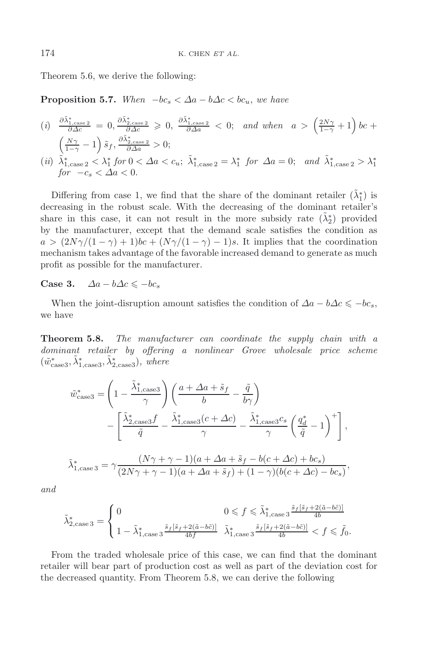Theorem 5.6, we derive the following:

**Proposition 5.7.** *When*  $-bc_s < \Delta a - b\Delta c < bc_u$ , *we have* 

(i) 
$$
\frac{\partial \tilde{\lambda}_{1,\text{case 2}}^*}{\partial \Delta c} = 0, \frac{\partial \tilde{\lambda}_{2,\text{case 2}}^*}{\partial \Delta c} \ge 0, \frac{\partial \tilde{\lambda}_{1,\text{case 2}}^*}{\partial \Delta a} < 0; \text{ and when } a > \left(\frac{2N\gamma}{1-\gamma}+1\right)bc + \left(\frac{N\gamma}{1-\gamma}-1\right)\tilde{s}_f, \frac{\partial \tilde{\lambda}_{2,\text{case 2}}^*}{\partial \Delta a} > 0; \\
\text{(ii) } \tilde{\lambda}_{1,\text{case 2}}^* < \lambda_1^* \text{ for } 0 < \Delta a < c_u; \tilde{\lambda}_{1,\text{case 2}}^* = \lambda_1^* \text{ for } \Delta a = 0; \text{ and } \tilde{\lambda}_{1,\text{case 2}}^* > \lambda_1^* \text{ for } -c_s < \Delta a < 0.
$$

Differing from case 1, we find that the share of the dominant retailer  $(\tilde{\lambda}_1^*)$  is decreasing in the robust scale. With the decreasing of the dominant retailer's share in this case, it can not result in the more subsidy rate  $(\tilde{\lambda}_2^*)$  provided by the manufacturer, except that the demand scale satisfies the condition as  $a > (2N\gamma/(1-\gamma) + 1)bc + (N\gamma/(1-\gamma) - 1)s$ . It implies that the coordination mechanism takes advantage of the favorable increased demand to generate as much profit as possible for the manufacturer.

Case 3. 
$$
\Delta a - b \Delta c \leqslant -b c_s
$$

When the joint-disruption amount satisfies the condition of  $\Delta a - b\Delta c \leq -bc_s$ , we have

**Theorem 5.8.** *The manufacturer can coordinate the supply chain with a dominant retailer by offering a nonlinear Grove wholesale price scheme*  $(\tilde{w}^*_{\text{case3}}, \tilde{\lambda}^*_{1,\text{case3}}, \tilde{\lambda}^*_{2,\text{case3}}),$  where

$$
\tilde{w}_{\text{case3}}^* = \left(1 - \frac{\tilde{\lambda}_{1,\text{case3}}^*}{\gamma}\right) \left(\frac{a + \Delta a + \tilde{s}_f}{b} - \frac{\tilde{q}}{b\gamma}\right)
$$

$$
- \left[\frac{\tilde{\lambda}_{2,\text{case3}}^* f}{\tilde{q}} - \frac{\tilde{\lambda}_{1,\text{case3}}^* (c + \Delta c)}{\gamma} - \frac{\tilde{\lambda}_{1,\text{case3}}^* c_s}{\gamma} \left(\frac{q_d^*}{\tilde{q}} - 1\right)^+\right],
$$

$$
\tilde{\lambda}_{1,\text{case3}}^* = \gamma \frac{(N\gamma + \gamma - 1)(a + \Delta a + \tilde{s}_f - b(c + \Delta c) + bc_s)}{(2N\gamma + \gamma - 1)(a + \Delta a + \tilde{s}_f) + (1 - \gamma)(b(c + \Delta c) - bc_s)},
$$

*and*

$$
\tilde{\lambda}_{2,\text{case }3}^*=\begin{cases}0 & 0 \leqslant f \leqslant \tilde{\lambda}_{1,\text{case }3}^*\frac{\tilde{s}_f[\tilde{s}_f+2(\tilde{a}-b\tilde{c})]}{4b} \\ 1-\tilde{\lambda}_{1,\text{case }3}^*\frac{\tilde{s}_f[\tilde{s}_f+2(\tilde{a}-b\tilde{c})]}{4bf} & \tilde{\lambda}_{1,\text{case }3}^*\frac{\tilde{s}_f[\tilde{s}_f+2(\tilde{a}-b\tilde{c})]}{4b}< f \leqslant \tilde{f}_0.\end{cases}
$$

From the traded wholesale price of this case, we can find that the dominant retailer will bear part of production cost as well as part of the deviation cost for the decreased quantity. From Theorem 5.8, we can derive the following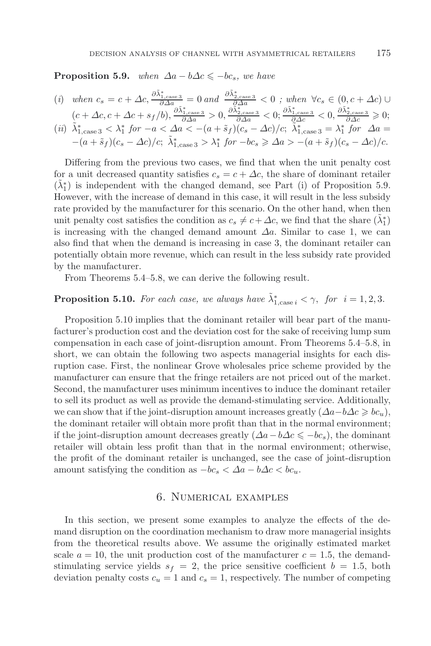**Proposition 5.9.** *when*  $\Delta a - b\Delta c \leq -bc_s$ *, we have* 

(i) when 
$$
c_s = c + \Delta c
$$
,  $\frac{\partial \tilde{\lambda}_{1,\text{case }3}^*}{\partial \Delta a} = 0$  and  $\frac{\partial \tilde{\lambda}_{2,\text{case }3}^*}{\partial \Delta a} < 0$ ; when  $\forall c_s \in (0, c + \Delta c) \cup (c + \Delta c, c + \Delta c + s_f/b)$ ,  $\frac{\partial \tilde{\lambda}_{1,\text{case }3}^*}{\partial \Delta a} > 0$ ,  $\frac{\partial \tilde{\lambda}_{2,\text{case }3}^*}{\partial \Delta a} < 0$ ;  $\frac{\partial \tilde{\lambda}_{1,\text{case }3}^*}{\partial \Delta c} < 0$ ,  $\frac{\partial \tilde{\lambda}_{2,\text{case }3}^*}{\partial \Delta c} < 0$ ,  $\frac{\partial \tilde{\lambda}_{2,\text{case }3}^*}{\partial \Delta c} \geq 0$ ;

(*ii*) 
$$
\tilde{\lambda}_{1,\text{case }3}^* < \lambda_1^*
$$
 for  $-a < \Delta a < -(a + \tilde{s}_f)(c_s - \Delta c)/c$ ;  $\tilde{\lambda}_{1,\text{case }3}^* = \lambda_1^*$  for  $\Delta a = -(a + \tilde{s}_f)(c_s - \Delta c)/c$ ;  $\tilde{\lambda}_{1,\text{case }3}^* > \lambda_1^*$  for  $-bc_s \ge \Delta a > -(a + \tilde{s}_f)(c_s - \Delta c)/c$ .

Differing from the previous two cases, we find that when the unit penalty cost for a unit decreased quantity satisfies  $c_s = c + \Delta c$ , the share of dominant retailer  $(\tilde{\lambda}_1^*)$  is independent with the changed demand, see Part (i) of Proposition 5.9. However, with the increase of demand in this case, it will result in the less subsidy rate provided by the manufacturer for this scenario. On the other hand, when then unit penalty cost satisfies the condition as  $c_s \neq c + \Delta c$ , we find that the share  $(\tilde{\lambda}_1^*)$ is increasing with the changed demand amount  $\Delta a$ . Similar to case 1, we can also find that when the demand is increasing in case 3, the dominant retailer can potentially obtain more revenue, which can result in the less subsidy rate provided by the manufacturer.

From Theorems 5.4–5.8, we can derive the following result.

## **Proposition 5.10.** For each case, we always have  $\tilde{\lambda}_{1,\text{case }i}^* < \gamma$ , for  $i = 1, 2, 3$ .

Proposition 5.10 implies that the dominant retailer will bear part of the manufacturer's production cost and the deviation cost for the sake of receiving lump sum compensation in each case of joint-disruption amount. From Theorems 5.4–5.8, in short, we can obtain the following two aspects managerial insights for each disruption case. First, the nonlinear Grove wholesales price scheme provided by the manufacturer can ensure that the fringe retailers are not priced out of the market. Second, the manufacturer uses minimum incentives to induce the dominant retailer to sell its product as well as provide the demand-stimulating service. Additionally, we can show that if the joint-disruption amount increases greatly  $(\Delta a - b\Delta c \geqslant bc_u)$ , the dominant retailer will obtain more profit than that in the normal environment; if the joint-disruption amount decreases greatly  $(\Delta a - b\Delta c \leq -bc_s)$ , the dominant retailer will obtain less profit than that in the normal environment; otherwise, the profit of the dominant retailer is unchanged, see the case of joint-disruption amount satisfying the condition as  $-bc_s < \Delta a - b\Delta c < bc_u$ .

## 6. Numerical examples

In this section, we present some examples to analyze the effects of the demand disruption on the coordination mechanism to draw more managerial insights from the theoretical results above. We assume the originally estimated market scale  $a = 10$ , the unit production cost of the manufacturer  $c = 1.5$ , the demandstimulating service yields  $s_f = 2$ , the price sensitive coefficient  $b = 1.5$ , both deviation penalty costs  $c_u = 1$  and  $c_s = 1$ , respectively. The number of competing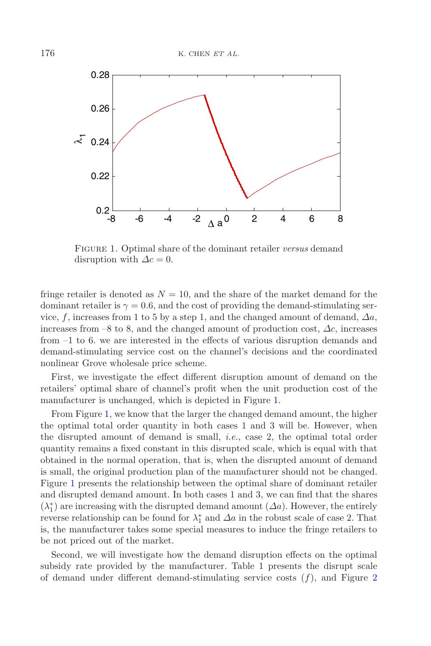<span id="page-17-0"></span>

Figure 1. Optimal share of the dominant retailer *versus* demand disruption with  $\Delta c = 0$ .

fringe retailer is denoted as  $N = 10$ , and the share of the market demand for the dominant retailer is  $\gamma = 0.6$ , and the cost of providing the demand-stimulating service, f, increases from 1 to 5 by a step 1, and the changed amount of demand,  $\Delta a$ , increases from  $-8$  to 8, and the changed amount of production cost,  $\Delta c$ , increases from –1 to 6. we are interested in the effects of various disruption demands and demand-stimulating service cost on the channel's decisions and the coordinated nonlinear Grove wholesale price scheme.

First, we investigate the effect different disruption amount of demand on the retailers' optimal share of channel's profit when the unit production cost of the manufacturer is unchanged, which is depicted in Figure [1.](#page-17-0)

From Figure [1,](#page-17-0) we know that the larger the changed demand amount, the higher the optimal total order quantity in both cases 1 and 3 will be. However, when the disrupted amount of demand is small, *i.e.*, case 2, the optimal total order quantity remains a fixed constant in this disrupted scale, which is equal with that obtained in the normal operation, that is, when the disrupted amount of demand is small, the original production plan of the manufacturer should not be changed. Figure [1](#page-17-0) presents the relationship between the optimal share of dominant retailer and disrupted demand amount. In both cases 1 and 3, we can find that the shares  $(\lambda_1^*)$  are increasing with the disrupted demand amount  $(\Delta a)$ . However, the entirely reverse relationship can be found for  $\lambda_1^*$  and  $\Delta a$  in the robust scale of case 2. That is, the manufacturer takes some special measures to induce the fringe retailers to be not priced out of the market.

Second, we will investigate how the demand disruption effects on the optimal subsidy rate provided by the manufacturer. Table 1 presents the disrupt scale of demand under different demand-stimulating service costs  $(f)$ , and Figure [2](#page-18-0)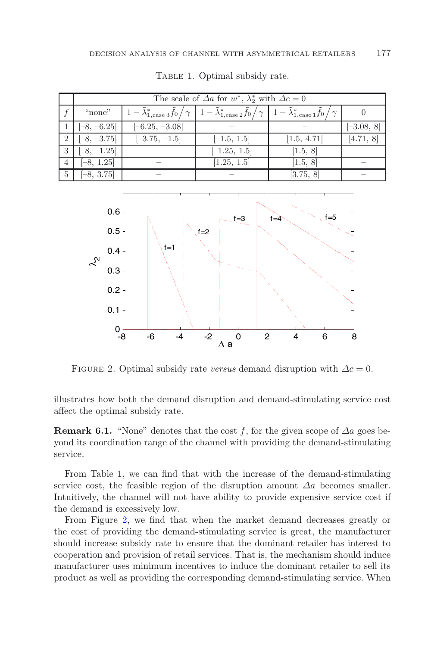|                | The scale of $\Delta a$ for $w^*$ , $\lambda_2^*$ with $\Delta c = 0$ |                                                                                                                                                                                                                |                |             |              |
|----------------|-----------------------------------------------------------------------|----------------------------------------------------------------------------------------------------------------------------------------------------------------------------------------------------------------|----------------|-------------|--------------|
|                | "none"                                                                | $\left[1-\tilde{\lambda}_{1,\mathrm{case}}^*\tilde{f}_0/\gamma\right]\left[1-\tilde{\lambda}_{1,\mathrm{case}}^*\tilde{f}_0/\gamma\right]\left[1-\tilde{\lambda}_{1,\mathrm{case}}^*\tilde{f}_0/\gamma\right]$ |                |             |              |
|                | $[-8, -6.25]$                                                         | $[-6.25, -3.08]$                                                                                                                                                                                               |                |             | $[-3.08, 8]$ |
| $\overline{2}$ | $[-8, -3.75]$                                                         | $[-3.75, -1.5]$                                                                                                                                                                                                | $[-1.5, 1.5]$  | [1.5, 4.71] | [4.71, 8]    |
| 3              | $[-8, -1.25]$                                                         |                                                                                                                                                                                                                | $[-1.25, 1.5]$ | [1.5, 8]    |              |
| $\overline{4}$ | $[-8, 1.25]$                                                          |                                                                                                                                                                                                                | [1.25, 1.5]    | [1.5, 8]    |              |
| 5 <sub>1</sub> | $[-8, 3.75]$                                                          |                                                                                                                                                                                                                |                | [3.75, 8]   |              |

TABLE 1. Optimal subsidy rate.

<span id="page-18-0"></span>

FIGURE 2. Optimal subsidy rate *versus* demand disruption with  $\Delta c = 0$ .

illustrates how both the demand disruption and demand-stimulating service cost affect the optimal subsidy rate.

**Remark 6.1.** "None" denotes that the cost f, for the given scope of  $\Delta a$  goes beyond its coordination range of the channel with providing the demand-stimulating service.

From Table 1, we can find that with the increase of the demand-stimulating service cost, the feasible region of the disruption amount  $\Delta a$  becomes smaller. Intuitively, the channel will not have ability to provide expensive service cost if the demand is excessively low.

From Figure [2,](#page-18-0) we find that when the market demand decreases greatly or the cost of providing the demand-stimulating service is great, the manufacturer should increase subsidy rate to ensure that the dominant retailer has interest to cooperation and provision of retail services. That is, the mechanism should induce manufacturer uses minimum incentives to induce the dominant retailer to sell its product as well as providing the corresponding demand-stimulating service. When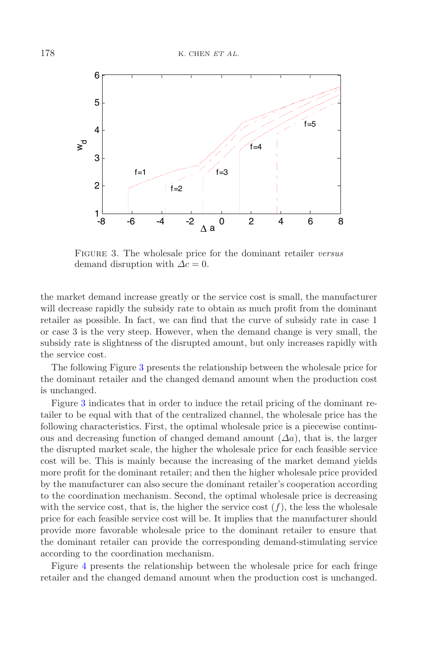<span id="page-19-0"></span>

Figure 3. The wholesale price for the dominant retailer *versus* demand disruption with  $\Delta c = 0$ .

the market demand increase greatly or the service cost is small, the manufacturer will decrease rapidly the subsidy rate to obtain as much profit from the dominant retailer as possible. In fact, we can find that the curve of subsidy rate in case 1 or case 3 is the very steep. However, when the demand change is very small, the subsidy rate is slightness of the disrupted amount, but only increases rapidly with the service cost.

The following Figure [3](#page-19-0) presents the relationship between the wholesale price for the dominant retailer and the changed demand amount when the production cost is unchanged.

Figure [3](#page-19-0) indicates that in order to induce the retail pricing of the dominant retailer to be equal with that of the centralized channel, the wholesale price has the following characteristics. First, the optimal wholesale price is a piecewise continuous and decreasing function of changed demand amount  $(\Delta a)$ , that is, the larger the disrupted market scale, the higher the wholesale price for each feasible service cost will be. This is mainly because the increasing of the market demand yields more profit for the dominant retailer; and then the higher wholesale price provided by the manufacturer can also secure the dominant retailer's cooperation according to the coordination mechanism. Second, the optimal wholesale price is decreasing with the service cost, that is, the higher the service cost  $(f)$ , the less the wholesale price for each feasible service cost will be. It implies that the manufacturer should provide more favorable wholesale price to the dominant retailer to ensure that the dominant retailer can provide the corresponding demand-stimulating service according to the coordination mechanism.

Figure [4](#page-20-0) presents the relationship between the wholesale price for each fringe retailer and the changed demand amount when the production cost is unchanged.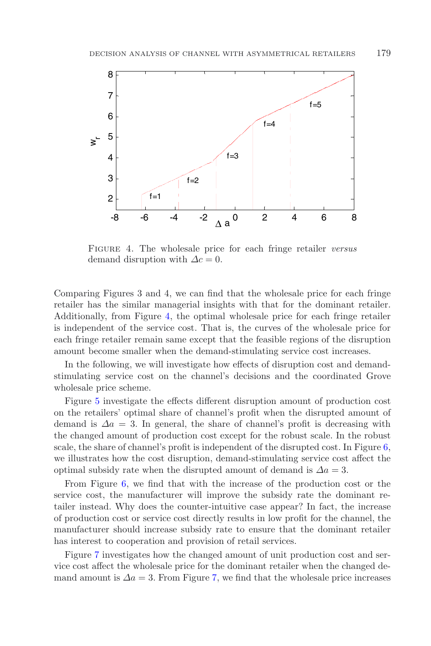<span id="page-20-0"></span>

Figure 4. The wholesale price for each fringe retailer *versus* demand disruption with  $\Delta c = 0$ .

Comparing Figures 3 and 4, we can find that the wholesale price for each fringe retailer has the similar managerial insights with that for the dominant retailer. Additionally, from Figure [4,](#page-20-0) the optimal wholesale price for each fringe retailer is independent of the service cost. That is, the curves of the wholesale price for each fringe retailer remain same except that the feasible regions of the disruption amount become smaller when the demand-stimulating service cost increases.

In the following, we will investigate how effects of disruption cost and demandstimulating service cost on the channel's decisions and the coordinated Grove wholesale price scheme.

Figure [5](#page-21-0) investigate the effects different disruption amount of production cost on the retailers' optimal share of channel's profit when the disrupted amount of demand is  $\Delta a = 3$ . In general, the share of channel's profit is decreasing with the changed amount of production cost except for the robust scale. In the robust scale, the share of channel's profit is independent of the disrupted cost. In Figure [6,](#page-21-1) we illustrates how the cost disruption, demand-stimulating service cost affect the optimal subsidy rate when the disrupted amount of demand is  $\Delta a = 3$ .

From Figure [6,](#page-21-1) we find that with the increase of the production cost or the service cost, the manufacturer will improve the subsidy rate the dominant retailer instead. Why does the counter-intuitive case appear? In fact, the increase of production cost or service cost directly results in low profit for the channel, the manufacturer should increase subsidy rate to ensure that the dominant retailer has interest to cooperation and provision of retail services.

Figure [7](#page-22-0) investigates how the changed amount of unit production cost and service cost affect the wholesale price for the dominant retailer when the changed demand amount is  $\Delta a = 3$ . From Figure [7,](#page-22-0) we find that the wholesale price increases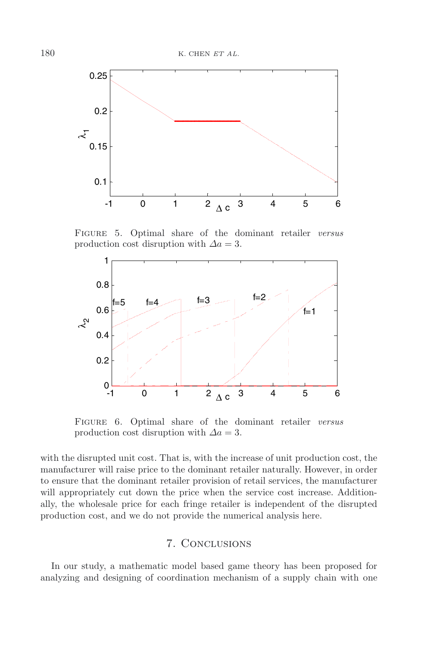<span id="page-21-0"></span>

Figure 5. Optimal share of the dominant retailer *versus* production cost disruption with  $\Delta a = 3$ .

<span id="page-21-1"></span>

Figure 6. Optimal share of the dominant retailer *versus* production cost disruption with  $\Delta a = 3$ .

with the disrupted unit cost. That is, with the increase of unit production cost, the manufacturer will raise price to the dominant retailer naturally. However, in order to ensure that the dominant retailer provision of retail services, the manufacturer will appropriately cut down the price when the service cost increase. Additionally, the wholesale price for each fringe retailer is independent of the disrupted production cost, and we do not provide the numerical analysis here.

## 7. Conclusions

In our study, a mathematic model based game theory has been proposed for analyzing and designing of coordination mechanism of a supply chain with one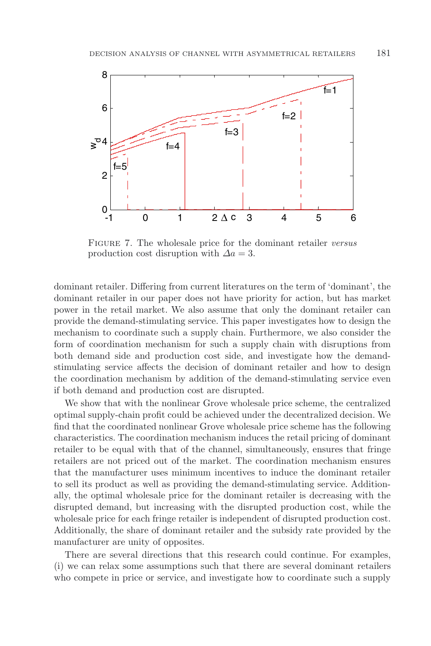<span id="page-22-0"></span>

Figure 7. The wholesale price for the dominant retailer *versus* production cost disruption with  $\Delta a = 3$ .

dominant retailer. Differing from current literatures on the term of 'dominant', the dominant retailer in our paper does not have priority for action, but has market power in the retail market. We also assume that only the dominant retailer can provide the demand-stimulating service. This paper investigates how to design the mechanism to coordinate such a supply chain. Furthermore, we also consider the form of coordination mechanism for such a supply chain with disruptions from both demand side and production cost side, and investigate how the demandstimulating service affects the decision of dominant retailer and how to design the coordination mechanism by addition of the demand-stimulating service even if both demand and production cost are disrupted.

We show that with the nonlinear Grove wholesale price scheme, the centralized optimal supply-chain profit could be achieved under the decentralized decision. We find that the coordinated nonlinear Grove wholesale price scheme has the following characteristics. The coordination mechanism induces the retail pricing of dominant retailer to be equal with that of the channel, simultaneously, ensures that fringe retailers are not priced out of the market. The coordination mechanism ensures that the manufacturer uses minimum incentives to induce the dominant retailer to sell its product as well as providing the demand-stimulating service. Additionally, the optimal wholesale price for the dominant retailer is decreasing with the disrupted demand, but increasing with the disrupted production cost, while the wholesale price for each fringe retailer is independent of disrupted production cost. Additionally, the share of dominant retailer and the subsidy rate provided by the manufacturer are unity of opposites.

There are several directions that this research could continue. For examples, (i) we can relax some assumptions such that there are several dominant retailers who compete in price or service, and investigate how to coordinate such a supply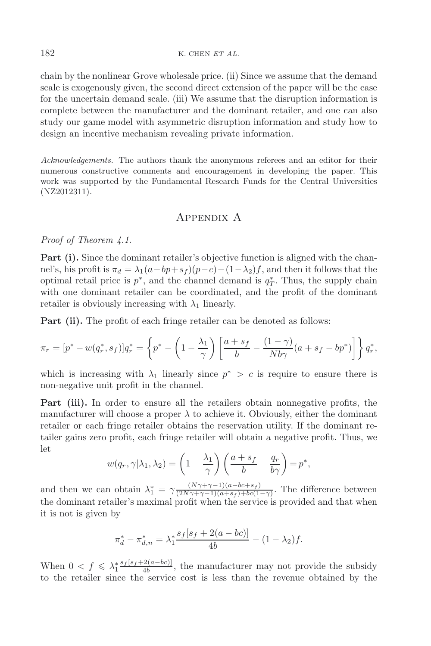chain by the nonlinear Grove wholesale price. (ii) Since we assume that the demand scale is exogenously given, the second direct extension of the paper will be the case for the uncertain demand scale. (iii) We assume that the disruption information is complete between the manufacturer and the dominant retailer, and one can also study our game model with asymmetric disruption information and study how to design an incentive mechanism revealing private information.

*Acknowledgements.* The authors thank the anonymous referees and an editor for their numerous constructive comments and encouragement in developing the paper. This work was supported by the Fundamental Research Funds for the Central Universities (NZ2012311).

## Appendix A

*Proof of Theorem 4.1.*

**Part (i).** Since the dominant retailer's objective function is aligned with the channel's, his profit is  $\pi_d = \lambda_1(a-bp+s_f)(p-c)-(1-\lambda_2)f$ , and then it follows that the optimal retail price is  $p^*$ , and the channel demand is  $q_T^*$ . Thus, the supply chain with one dominant retailer can be coordinated, and the profit of the dominant retailer is obviously increasing with  $\lambda_1$  linearly.

**Part (ii).** The profit of each fringe retailer can be denoted as follows:

$$
\pi_r = [p^* - w(q_r^*, s_f)]q_r^* = \left\{ p^* - \left(1 - \frac{\lambda_1}{\gamma}\right) \left[ \frac{a + s_f}{b} - \frac{(1 - \gamma)}{Nb\gamma}(a + s_f - bp^*) \right] \right\} q_r^*,
$$

which is increasing with  $\lambda_1$  linearly since  $p^* > c$  is require to ensure there is non-negative unit profit in the channel.

**Part (iii).** In order to ensure all the retailers obtain nonnegative profits, the manufacturer will choose a proper  $\lambda$  to achieve it. Obviously, either the dominant retailer or each fringe retailer obtains the reservation utility. If the dominant retailer gains zero profit, each fringe retailer will obtain a negative profit. Thus, we let

$$
w(q_r, \gamma | \lambda_1, \lambda_2) = \left(1 - \frac{\lambda_1}{\gamma}\right) \left(\frac{a + s_f}{b} - \frac{q_r}{b\gamma}\right) = p^*,
$$

and then we can obtain  $\lambda_1^* = \gamma \frac{(N\gamma + \gamma - 1)(a - bc + s_f)}{(2N\gamma + \gamma - 1)(a + s_f) + bc(1 - \gamma)}$ . The difference between the dominant retailer's maximal profit when the service is provided and that when it is not is given by

$$
\pi_d^* - \pi_{d,n}^* = \lambda_1^* \frac{s_f[s_f + 2(a - bc)]}{4b} - (1 - \lambda_2)f.
$$

When  $0 \lt f \leq \lambda_1^* \frac{s_f[s_f+2(a-bc)]}{4b}$ , the manufacturer may not provide the subsidy to the retailer since the service cost is less than the revenue obtained by the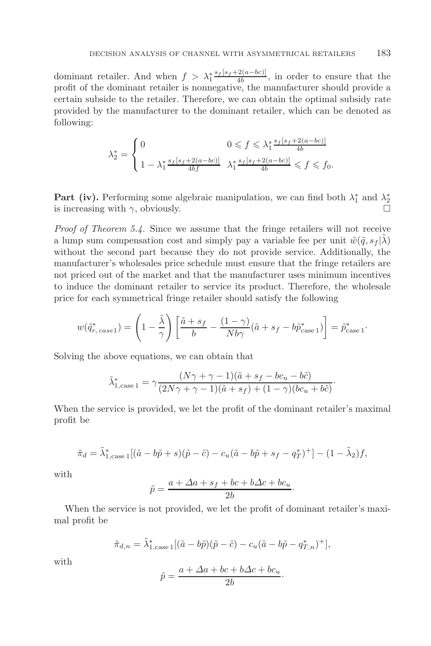dominant retailer. And when  $f > \lambda_1^* \frac{s_f[s_f + 2(a - bc)]}{4b}$ , in order to ensure that the profit of the dominant retailer is nonnegative, the manufacturer should provide a certain subside to the retailer. Therefore, we can obtain the optimal subsidy rate provided by the manufacturer to the dominant retailer, which can be denoted as following:

$$
\lambda_2^* = \begin{cases} 0 & 0 \leqslant f \leqslant \lambda_1^* \frac{s_f[s_f + 2(a - bc)]}{4b} \\ 1 - \lambda_1^* \frac{s_f[s_f + 2(a - bc)]}{4bf} & \lambda_1^* \frac{s_f[s_f + 2(a - bc)]}{4b} \leqslant f \leqslant f_0. \end{cases}
$$

**Part (iv).** Performing some algebraic manipulation, we can find both  $\lambda_1^*$  and  $\lambda_2^*$ is increasing with  $\gamma$ , obviously.

*Proof of Theorem 5.4.* Since we assume that the fringe retailers will not receive a lump sum compensation cost and simply pay a variable fee per unit  $\tilde{w}(\tilde{q}, s_f | \lambda)$ without the second part because they do not provide service. Additionally, the manufacturer's wholesales price schedule must ensure that the fringe retailers are not priced out of the market and that the manufacturer uses minimum incentives to induce the dominant retailer to service its product. Therefore, the wholesale price for each symmetrical fringe retailer should satisfy the following

$$
w(\tilde{q}_{r,\,case1}^*) = \left(1 - \frac{\tilde{\lambda}}{\gamma}\right) \left[\frac{\tilde{a} + s_f}{b} - \frac{(1 - \gamma)}{Nb\gamma}(\tilde{a} + s_f - b\tilde{p}_{case1}^*)\right] = \tilde{p}_{case1}^*.
$$

Solving the above equations, we can obtain that

$$
\tilde{\lambda}_{1,\text{case }1}^* = \gamma \frac{(N\gamma + \gamma - 1)(\tilde{a} + s_f - bc_u - b\tilde{c})}{(2N\gamma + \gamma - 1)(\tilde{a} + s_f) + (1 - \gamma)(bc_u + b\tilde{c})}.
$$

When the service is provided, we let the profit of the dominant retailer's maximal profit be

$$
\tilde{\pi}_d = \tilde{\lambda}_{1,\text{case 1}}^*[(\tilde{a} - b\tilde{p} + s)(\tilde{p} - \tilde{c}) - c_u(\tilde{a} - b\tilde{p} + s_f - q^*_T)^+] - (1 - \tilde{\lambda}_2)f,
$$

with

$$
\tilde{p} = \frac{a + \Delta a + s_f + bc + b\Delta c + bc_u}{2b}.
$$

When the service is not provided, we let the profit of dominant retailer's maximal profit be

$$
\tilde{\pi}_{d,n} = \tilde{\lambda}_{1,\mathrm{case 1}}^*[(\tilde{a} - b\tilde{p})(\tilde{p} - \tilde{c}) - c_u(\tilde{a} - b\tilde{p} - q_{T,n}^*)^+],
$$

with

$$
\tilde{p} = \frac{a + \Delta a + bc + b\Delta c + bc_u}{2b}.
$$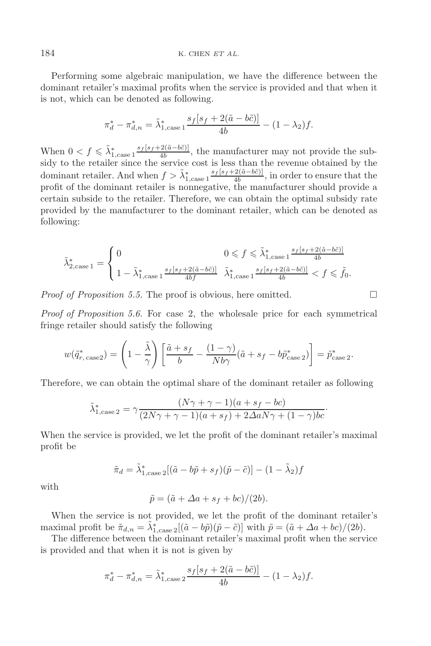Performing some algebraic manipulation, we have the difference between the dominant retailer's maximal profits when the service is provided and that when it is not, which can be denoted as following.

$$
\pi_d^* - \pi_{d,n}^* = \tilde{\lambda}_{1,\text{case 1}}^* \frac{s_f[s_f + 2(\tilde{a} - b\tilde{c})]}{4b} - (1 - \lambda_2)f.
$$

When  $0 < f \leq \tilde{\lambda}_{1,\text{case}}^* \frac{s_f[s_f+2(\tilde{a}-b\tilde{c})]}{4b}$ , the manufacturer may not provide the subsidy to the retailer since the service cost is less than the revenue obtained by the dominant retailer. And when  $f > \tilde{\lambda}_{1,\text{case 1}}^* \frac{s_f[s_f+2(\tilde{a}-b\tilde{c})]}{4b}$ , in order to ensure that the profit of the dominant retailer is nonnegative, the manufacturer should provide a certain subside to the retailer. Therefore, we can obtain the optimal subsidy rate provided by the manufacturer to the dominant retailer, which can be denoted as following:

$$
\tilde{\lambda}_{2,\text{case 1}}^* = \begin{cases} 0 & 0 \leqslant f \leqslant \tilde{\lambda}_{1,\text{case 1}}^* \frac{s_f[s_f + 2(\tilde{a} - b\tilde{c})]}{4b} \\ 1 - \tilde{\lambda}_{1,\text{case 1}}^* \frac{s_f[s_f + 2(\tilde{a} - b\tilde{c})]}{4bf} & \tilde{\lambda}_{1,\text{case 1}}^* \frac{s_f[s_f + 2(\tilde{a} - b\tilde{c})]}{4b} < f \leqslant \tilde{f}_0. \end{cases}
$$

*Proof of Proposition 5.5.* The proof is obvious, here omitted.  $\Box$ 

*Proof of Proposition 5.6.* For case 2, the wholesale price for each symmetrical fringe retailer should satisfy the following

$$
w(\tilde{q}_{r,\,\text{case2}}^*) = \left(1 - \frac{\tilde{\lambda}}{\gamma}\right) \left[\frac{\tilde{a} + s_f}{b} - \frac{(1 - \gamma)}{Nb\gamma}(\tilde{a} + s_f - b\tilde{p}_{\text{case2}}^*)\right] = \tilde{p}_{\text{case2}}^*.
$$

Therefore, we can obtain the optimal share of the dominant retailer as following

$$
\tilde{\lambda}_{1,\text{case }2}^* = \gamma \frac{(N\gamma + \gamma - 1)(a + s_f - bc)}{(2N\gamma + \gamma - 1)(a + s_f) + 2\Delta a N\gamma + (1 - \gamma)bc}.
$$

When the service is provided, we let the profit of the dominant retailer's maximal profit be

$$
\tilde{\pi}_d = \tilde{\lambda}_{1,\text{case }2}^*[(\tilde{a} - b\tilde{p} + s_f)(\tilde{p} - \tilde{c})] - (1 - \tilde{\lambda}_2)f
$$

with

$$
\tilde{p} = (\tilde{a} + \Delta a + s_f + bc)/(2b).
$$

When the service is not provided, we let the profit of the dominant retailer's maximal profit be  $\tilde{\pi}_{d,n} = \tilde{\lambda}_{1,\text{case 2}}^*[(\tilde{a} - b\tilde{p})(\tilde{p} - \tilde{c})]$  with  $\tilde{p} = (\tilde{a} + \Delta a + bc)/(2b)$ .

The difference between the dominant retailer's maximal profit when the service is provided and that when it is not is given by

$$
\pi_d^* - \pi_{d,n}^* = \tilde{\lambda}_{1,\text{case}}^* \frac{s_f[s_f + 2(\tilde{a} - b\tilde{c})]}{4b} - (1 - \lambda_2)f.
$$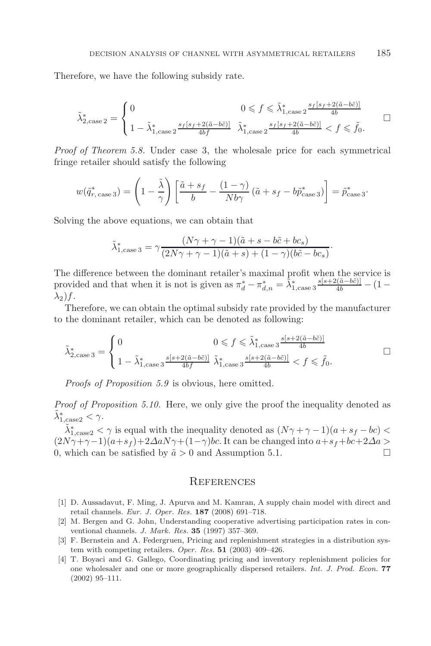Therefore, we have the following subsidy rate.

$$
\tilde{\lambda}_{2,\text{case }2}^* = \begin{cases} 0 & 0 \leqslant f \leqslant \tilde{\lambda}_{1,\text{case }2}^* \frac{s_f[s_f+2(\tilde{a}-b\tilde{c})]}{4b} \\ 1-\tilde{\lambda}_{1,\text{case }2}^* \frac{s_f[s_f+2(\tilde{a}-b\tilde{c})]}{4bf} & \tilde{\lambda}_{1,\text{case }2}^* \frac{s_f[s_f+2(\tilde{a}-b\tilde{c})]}{4b} < f \leqslant \tilde{f}_0. \end{cases} \square
$$

*Proof of Theorem 5.8.* Under case 3, the wholesale price for each symmetrical fringe retailer should satisfy the following

$$
w(\tilde{q}_{r,\,\text{case }3}^*) = \left(1 - \frac{\tilde{\lambda}}{\gamma}\right) \left[\frac{\tilde{a} + s_f}{b} - \frac{(1 - \gamma)}{Nb\gamma}(\tilde{a} + s_f - b\tilde{p}_{\text{case }3}^*)\right] = \tilde{p}_{\text{case }3}^*.
$$

Solving the above equations, we can obtain that

$$
\tilde{\lambda}_{1,\text{case }3}^* = \gamma \frac{(N\gamma + \gamma - 1)(\tilde{a} + s - b\tilde{c} + bc_s)}{(2N\gamma + \gamma - 1)(\tilde{a} + s) + (1 - \gamma)(b\tilde{c} - bc_s)}.
$$

The difference between the dominant retailer's maximal profit when the service is provided and that when it is not is given as  $\pi_d^* - \pi_{d,n}^* = \hat{\lambda}_{1,\text{case}}^*$  and  $\frac{s[s+2(\tilde{a}-b\tilde{c})]}{4b} - (1-\tilde{a})$  $\lambda_2$ ) f.

Therefore, we can obtain the optimal subsidy rate provided by the manufacturer to the dominant retailer, which can be denoted as following:

$$
\tilde{\lambda}_{2,\text{case }3}^* = \begin{cases} 0 & 0 \leqslant f \leqslant \tilde{\lambda}_{1,\text{case }3}^* \frac{s[s+2(\tilde{a}-b\tilde{c})]}{4b} \\ 1 - \tilde{\lambda}_{1,\text{case }3}^* \frac{s[s+2(\tilde{a}-b\tilde{c})]}{4bf} \tilde{\lambda}_{1,\text{case }3}^* \frac{s[s+2(\tilde{a}-b\tilde{c})]}{4b} < f \leqslant \tilde{f}_0. \end{cases} \square
$$

*Proofs of Proposition 5.9* is obvious, here omitted.

*Proof of Proposition 5.10.* Here, we only give the proof the inequality denoted as  $\tilde{\lambda}_{1,\text{case2}}^* < \gamma.$ 

 $\tilde{\lambda}_{1,\text{case2}}^* < \gamma$  is equal with the inequality denoted as  $(N\gamma + \gamma - 1)(a + s_f - bc)$  $(2N\gamma+\gamma-1)(a+s_f)+2\Delta aN\gamma+(1-\gamma)bc$ . It can be changed into  $a+s_f+bc+2\Delta a$ 0, which can be satisfied by  $\tilde{a} > 0$  and Assumption 5.1.

## **REFERENCES**

- <span id="page-26-0"></span>[1] D. Aussadavut, F. Ming, J. Apurva and M. Kamran, A supply chain model with direct and retail channels. *Eur. J. Oper. Res.* **187** (2008) 691–718.
- <span id="page-26-3"></span>[2] M. Bergen and G. John, Understanding cooperative advertising participation rates in conventional channels. *J. Mark. Res.* **35** (1997) 357–369.
- <span id="page-26-2"></span>[3] F. Bernstein and A. Federgruen, Pricing and replenishment strategies in a distribution system with competing retailers. *Oper. Res.* **51** (2003) 409–426.
- <span id="page-26-1"></span>[4] T. Boyaci and G. Gallego, Coordinating pricing and inventory replenishment policies for one wholesaler and one or more geographically dispersed retailers. *Int. J. Prod. Econ.* **77** (2002) 95–111.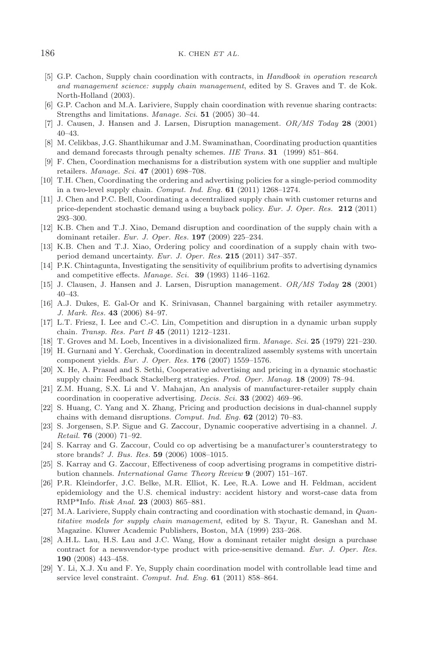#### 186 K. CHEN *ET AL.*

- <span id="page-27-2"></span>[5] G.P. Cachon, Supply chain coordination with contracts, in *Handbook in operation research and management science: supply chain management*, edited by S. Graves and T. de Kok. North-Holland (2003).
- <span id="page-27-7"></span>[6] G.P. Cachon and M.A. Lariviere, Supply chain coordination with revenue sharing contracts: Strengths and limitations. *Manage. Sci.* **51** (2005) 30–44.
- <span id="page-27-1"></span>[7] J. Causen, J. Hansen and J. Larsen, Disruption management. *OR/MS Today* **28** (2001) 40–43.
- <span id="page-27-23"></span>[8] M. Celikbas, J.G. Shanthikumar and J.M. Swaminathan, Coordinating production quantities and demand forecasts through penalty schemes. *IIE Trans.* **31** (1999) 851–864.
- <span id="page-27-8"></span>[9] F. Chen, Coordination mechanisms for a distribution system with one supplier and multiple retailers. *Manage. Sci.* **47** (2001) 698–708.
- <span id="page-27-11"></span>[10] T.H. Chen, Coordinating the ordering and advertising policies for a single-period commodity in a two-level supply chain. *Comput. Ind. Eng.* **61** (2011) 1268–1274.
- <span id="page-27-4"></span>[11] J. Chen and P.C. Bell, Coordinating a decentralized supply chain with customer returns and price-dependent stochastic demand using a buyback policy. *Eur. J. Oper. Res.* **212** (2011) 293–300.
- <span id="page-27-18"></span>[12] K.B. Chen and T.J. Xiao, Demand disruption and coordination of the supply chain with a dominant retailer. *Eur. J. Oper. Res.* **197** (2009) 225–234.
- <span id="page-27-5"></span>[13] K.B. Chen and T.J. Xiao, Ordering policy and coordination of a supply chain with twoperiod demand uncertainty. *Eur. J. Oper. Res.* **215** (2011) 347–357.
- <span id="page-27-12"></span>[14] P.K. Chintagunta, Investigating the sensitivity of equilibrium profits to advertising dynamics and competitive effects. *Manage. Sci.* **39** (1993) 1146–1162.
- <span id="page-27-19"></span>[15] J. Clausen, J. Hansen and J. Larsen, Disruption management. *OR/MS Today* **28** (2001) 40–43.
- <span id="page-27-16"></span>[16] A.J. Dukes, E. Gal-Or and K. Srinivasan, Channel bargaining with retailer asymmetry. *J. Mark. Res.* **43** (2006) 84–97.
- <span id="page-27-20"></span>[17] L.T. Friesz, I. Lee and C.-C. Lin, Competition and disruption in a dynamic urban supply chain. *Transp. Res. Part B* **45** (2011) 1212–1231.
- <span id="page-27-22"></span><span id="page-27-3"></span>[18] T. Groves and M. Loeb, Incentives in a divisionalized firm. *Manage. Sci.* **25** (1979) 221–230.
- [19] H. Gurnani and Y. Gerchak, Coordination in decentralized assembly systems with uncertain component yields. *Eur. J. Oper. Res.* **176** (2007) 1559–1576.
- <span id="page-27-13"></span>[20] X. He, A. Prasad and S. Sethi, Cooperative advertising and pricing in a dynamic stochastic supply chain: Feedback Stackelberg strategies. *Prod. Oper. Manag.* **18** (2009) 78–94.
- <span id="page-27-9"></span>[21] Z.M. Huang, S.X. Li and V. Mahajan, An analysis of manufacturer-retailer supply chain coordination in cooperative advertising. *Decis. Sci.* **33** (2002) 469–96.
- <span id="page-27-21"></span>[22] S. Huang, C. Yang and X. Zhang, Pricing and production decisions in dual-channel supply chains with demand disruptions. *Comput. Ind. Eng.* **62** (2012) 70–83.
- <span id="page-27-14"></span>[23] S. Jorgensen, S.P. Sigue and G. Zaccour, Dynamic cooperative advertising in a channel. *J. Retail.* **76** (2000) 71–92.
- [24] S. Karray and G. Zaccour, Could co op advertising be a manufacturer's counterstrategy to store brands? *J. Bus. Res.* **59** (2006) 1008–1015.
- <span id="page-27-15"></span>[25] S. Karray and G. Zaccour, Effectiveness of coop advertising programs in competitive distribution channels. *International Game Theory Review* **9** (2007) 151–167.
- <span id="page-27-0"></span>[26] P.R. Kleindorfer, J.C. Belke, M.R. Elliot, K. Lee, R.A. Lowe and H. Feldman, accident epidemiology and the U.S. chemical industry: accident history and worst-case data from RMP\*Info. *Risk Anal.* **23** (2003) 865–881.
- <span id="page-27-6"></span>[27] M.A. Lariviere, Supply chain contracting and coordination with stochastic demand, in *Quantitative models for supply chain management*, edited by S. Tayur, R. Ganeshan and M. Magazine. Kluwer Academic Publishers, Boston, MA (1999) 233–268.
- <span id="page-27-17"></span>[28] A.H.L. Lau, H.S. Lau and J.C. Wang, How a dominant retailer might design a purchase contract for a newsvendor-type product with price-sensitive demand. *Eur. J. Oper. Res.* **190** (2008) 443–458.
- <span id="page-27-10"></span>[29] Y. Li, X.J. Xu and F. Ye, Supply chain coordination model with controllable lead time and service level constraint. *Comput. Ind. Eng.* **61** (2011) 858–864.